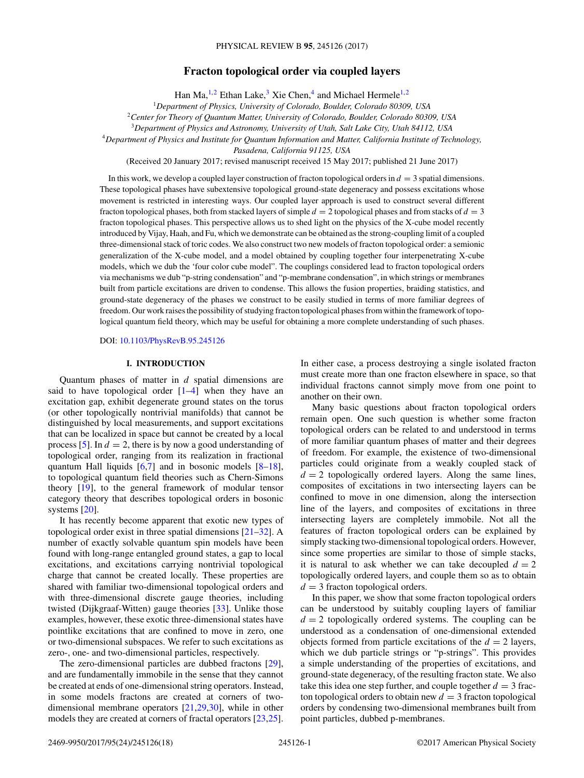# **Fracton topological order via coupled layers**

Han Ma,<sup>1,2</sup> Ethan Lake,<sup>3</sup> Xie Chen,<sup>4</sup> and Michael Hermele<sup>1,2</sup>

<sup>1</sup>*Department of Physics, University of Colorado, Boulder, Colorado 80309, USA*

<sup>2</sup>*Center for Theory of Quantum Matter, University of Colorado, Boulder, Colorado 80309, USA*

<sup>3</sup>*Department of Physics and Astronomy, University of Utah, Salt Lake City, Utah 84112, USA*

<sup>4</sup>*Department of Physics and Institute for Quantum Information and Matter, California Institute of Technology,*

*Pasadena, California 91125, USA*

(Received 20 January 2017; revised manuscript received 15 May 2017; published 21 June 2017)

In this work, we develop a coupled layer construction of fracton topological orders in *d* = 3 spatial dimensions. These topological phases have subextensive topological ground-state degeneracy and possess excitations whose movement is restricted in interesting ways. Our coupled layer approach is used to construct several different fracton topological phases, both from stacked layers of simple  $d = 2$  topological phases and from stacks of  $d = 3$ fracton topological phases. This perspective allows us to shed light on the physics of the X-cube model recently introduced by Vijay, Haah, and Fu, which we demonstrate can be obtained as the strong-coupling limit of a coupled three-dimensional stack of toric codes. We also construct two new models of fracton topological order: a semionic generalization of the X-cube model, and a model obtained by coupling together four interpenetrating X-cube models, which we dub the 'four color cube model". The couplings considered lead to fracton topological orders via mechanisms we dub "p-string condensation" and "p-membrane condensation", in which strings or membranes built from particle excitations are driven to condense. This allows the fusion properties, braiding statistics, and ground-state degeneracy of the phases we construct to be easily studied in terms of more familiar degrees of freedom. Our work raises the possibility of studying fracton topological phases from within the framework of topological quantum field theory, which may be useful for obtaining a more complete understanding of such phases.

DOI: [10.1103/PhysRevB.95.245126](https://doi.org/10.1103/PhysRevB.95.245126)

## **I. INTRODUCTION**

Quantum phases of matter in *d* spatial dimensions are said to have topological order  $[1-4]$  when they have an excitation gap, exhibit degenerate ground states on the torus (or other topologically nontrivial manifolds) that cannot be distinguished by local measurements, and support excitations that can be localized in space but cannot be created by a local process [\[5\]](#page-17-0). In  $d = 2$ , there is by now a good understanding of topological order, ranging from its realization in fractional quantum Hall liquids [\[6,7\]](#page-17-0) and in bosonic models [\[8–18\]](#page-17-0), to topological quantum field theories such as Chern-Simons theory [\[19\]](#page-17-0), to the general framework of modular tensor category theory that describes topological orders in bosonic systems [\[20\]](#page-17-0).

It has recently become apparent that exotic new types of topological order exist in three spatial dimensions [\[21–32\]](#page-17-0). A number of exactly solvable quantum spin models have been found with long-range entangled ground states, a gap to local excitations, and excitations carrying nontrivial topological charge that cannot be created locally. These properties are shared with familiar two-dimensional topological orders and with three-dimensional discrete gauge theories, including twisted (Dijkgraaf-Witten) gauge theories [\[33\]](#page-17-0). Unlike those examples, however, these exotic three-dimensional states have pointlike excitations that are confined to move in zero, one or two-dimensional subspaces. We refer to such excitations as zero-, one- and two-dimensional particles, respectively.

The zero-dimensional particles are dubbed fractons [\[29\]](#page-17-0), and are fundamentally immobile in the sense that they cannot be created at ends of one-dimensional string operators. Instead, in some models fractons are created at corners of twodimensional membrane operators [\[21,29,30\]](#page-17-0), while in other models they are created at corners of fractal operators [\[23,25\]](#page-17-0). In either case, a process destroying a single isolated fracton must create more than one fracton elsewhere in space, so that individual fractons cannot simply move from one point to another on their own.

Many basic questions about fracton topological orders remain open. One such question is whether some fracton topological orders can be related to and understood in terms of more familiar quantum phases of matter and their degrees of freedom. For example, the existence of two-dimensional particles could originate from a weakly coupled stack of  $d = 2$  topologically ordered layers. Along the same lines, composites of excitations in two intersecting layers can be confined to move in one dimension, along the intersection line of the layers, and composites of excitations in three intersecting layers are completely immobile. Not all the features of fracton topological orders can be explained by simply stacking two-dimensional topological orders. However, since some properties are similar to those of simple stacks, it is natural to ask whether we can take decoupled  $d = 2$ topologically ordered layers, and couple them so as to obtain  $d = 3$  fracton topological orders.

In this paper, we show that some fracton topological orders can be understood by suitably coupling layers of familiar  $d = 2$  topologically ordered systems. The coupling can be understood as a condensation of one-dimensional extended objects formed from particle excitations of the  $d = 2$  layers, which we dub particle strings or "p-strings". This provides a simple understanding of the properties of excitations, and ground-state degeneracy, of the resulting fracton state. We also take this idea one step further, and couple together  $d = 3$  fracton topological orders to obtain new  $d = 3$  fracton topological orders by condensing two-dimensional membranes built from point particles, dubbed p-membranes.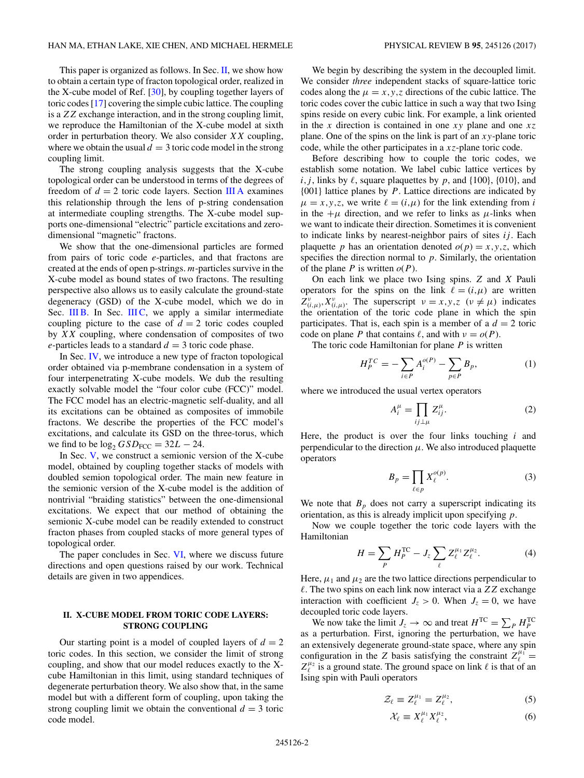<span id="page-1-0"></span>This paper is organized as follows. In Sec. II, we show how to obtain a certain type of fracton topological order, realized in the X-cube model of Ref. [\[30\]](#page-17-0), by coupling together layers of toric codes [\[17\]](#page-17-0) covering the simple cubic lattice. The coupling is a *ZZ* exchange interaction, and in the strong coupling limit, we reproduce the Hamiltonian of the X-cube model at sixth order in perturbation theory. We also consider *XX* coupling, where we obtain the usual  $d = 3$  toric code model in the strong coupling limit.

The strong coupling analysis suggests that the X-cube topological order can be understood in terms of the degrees of freedom of  $d = 2$  toric code layers. Section [III A](#page-2-0) examines this relationship through the lens of p-string condensation at intermediate coupling strengths. The X-cube model supports one-dimensional "electric" particle excitations and zerodimensional "magnetic" fractons.

We show that the one-dimensional particles are formed from pairs of toric code *e*-particles, and that fractons are created at the ends of open p-strings. *m*-particles survive in the X-cube model as bound states of two fractons. The resulting perspective also allows us to easily calculate the ground-state degeneracy (GSD) of the X-cube model, which we do in Sec. [III B.](#page-5-0) In Sec. [III C,](#page-6-0) we apply a similar intermediate coupling picture to the case of  $d = 2$  toric codes coupled by *XX* coupling, where condensation of composites of two *e*-particles leads to a standard  $d = 3$  toric code phase.

In Sec. [IV,](#page-6-0) we introduce a new type of fracton topological order obtained via p-membrane condensation in a system of four interpenetrating X-cube models. We dub the resulting exactly solvable model the "four color cube (FCC)" model. The FCC model has an electric-magnetic self-duality, and all its excitations can be obtained as composites of immobile fractons. We describe the properties of the FCC model's excitations, and calculate its GSD on the three-torus, which we find to be  $\log_2 GSD_{\text{FCC}} = 32L - 24$ .

In Sec. [V,](#page-10-0) we construct a semionic version of the X-cube model, obtained by coupling together stacks of models with doubled semion topological order. The main new feature in the semionic version of the X-cube model is the addition of nontrivial "braiding statistics" between the one-dimensional excitations. We expect that our method of obtaining the semionic X-cube model can be readily extended to construct fracton phases from coupled stacks of more general types of topological order.

The paper concludes in Sec. [VI,](#page-12-0) where we discuss future directions and open questions raised by our work. Technical details are given in two appendices.

### **II. X-CUBE MODEL FROM TORIC CODE LAYERS: STRONG COUPLING**

Our starting point is a model of coupled layers of  $d = 2$ toric codes. In this section, we consider the limit of strong coupling, and show that our model reduces exactly to the Xcube Hamiltonian in this limit, using standard techniques of degenerate perturbation theory. We also show that, in the same model but with a different form of coupling, upon taking the strong coupling limit we obtain the conventional  $d = 3$  toric code model.

We begin by describing the system in the decoupled limit. We consider *three* independent stacks of square-lattice toric codes along the  $\mu = x, y, z$  directions of the cubic lattice. The toric codes cover the cubic lattice in such a way that two Ising spins reside on every cubic link. For example, a link oriented in the *x* direction is contained in one *xy* plane and one *xz* plane. One of the spins on the link is part of an *xy*-plane toric code, while the other participates in a *xz*-plane toric code.

Before describing how to couple the toric codes, we establish some notation. We label cubic lattice vertices by  $i, j$ , links by  $\ell$ , square plaquettes by  $p$ , and  $\{100\}$ ,  $\{010\}$ , and {001} lattice planes by *P*. Lattice directions are indicated by  $\mu = x, y, z$ , we write  $\ell = (i, \mu)$  for the link extending from *i* in the  $+\mu$  direction, and we refer to links as  $\mu$ -links when we want to indicate their direction. Sometimes it is convenient to indicate links by nearest-neighbor pairs of sites *ij* . Each plaquette *p* has an orientation denoted  $o(p) = x, y, z$ , which specifies the direction normal to *p*. Similarly, the orientation of the plane *P* is written  $o(P)$ .

On each link we place two Ising spins. *Z* and *X* Pauli operators for the spins on the link  $\ell = (i,\mu)$  are written  $Z^{\nu}_{(i,\mu)}, X^{\nu}_{(i,\mu)}$ . The superscript  $\nu = x, y, z \ (\nu \neq \mu)$  indicates the orientation of the toric code plane in which the spin participates. That is, each spin is a member of a  $d = 2$  toric code on plane *P* that contains  $\ell$ , and with  $\nu = o(P)$ .

The toric code Hamiltonian for plane *P* is written

$$
H_P^{TC} = -\sum_{i \in P} A_i^{o(P)} - \sum_{p \in P} B_p,\tag{1}
$$

where we introduced the usual vertex operators

$$
A_i^{\mu} = \prod_{ij \perp \mu} Z_{ij}^{\mu}.
$$
 (2)

Here, the product is over the four links touching *i* and perpendicular to the direction  $\mu$ . We also introduced plaquette operators

$$
B_p = \prod_{\ell \in p} X_{\ell}^{o(p)}.
$$
 (3)

We note that  $B_p$  does not carry a superscript indicating its orientation, as this is already implicit upon specifying *p*.

Now we couple together the toric code layers with the Hamiltonian

$$
H = \sum_{P} H_{P}^{\text{TC}} - J_{z} \sum_{\ell} Z_{\ell}^{\mu_{1}} Z_{\ell}^{\mu_{2}}.
$$
 (4)

Here,  $\mu_1$  and  $\mu_2$  are the two lattice directions perpendicular to *-*. The two spins on each link now interact via a *ZZ* exchange interaction with coefficient  $J_z > 0$ . When  $J_z = 0$ , we have decoupled toric code layers.

We now take the limit  $J_z \rightarrow \infty$  and treat  $H^{TC} = \sum_{P} H_P^{TC}$ as a perturbation. First, ignoring the perturbation, we have an extensively degenerate ground-state space, where any spin configuration in the *Z* basis satisfying the constraint  $Z_{\ell}^{\mu_1}$  =  $Z_{\ell}^{\mu_2}$  is a ground state. The ground space on link  $\ell$  is that of an Ising spin with Pauli operators

$$
\mathcal{Z}_{\ell} \equiv Z_{\ell}^{\mu_1} = Z_{\ell}^{\mu_2},\tag{5}
$$

$$
\mathcal{X}_{\ell} \equiv X_{\ell}^{\mu_1} X_{\ell}^{\mu_2},\tag{6}
$$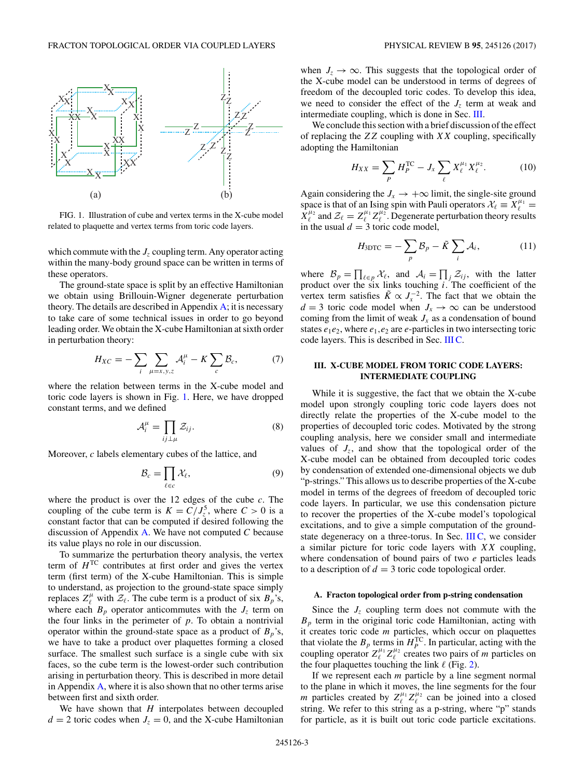<span id="page-2-0"></span>

FIG. 1. Illustration of cube and vertex terms in the X-cube model related to plaquette and vertex terms from toric code layers.

which commute with the  $J_z$  coupling term. Any operator acting within the many-body ground space can be written in terms of these operators.

The ground-state space is split by an effective Hamiltonian we obtain using Brillouin-Wigner degenerate perturbation theory. The details are described in Appendix  $\overline{A}$ ; it is necessary to take care of some technical issues in order to go beyond leading order. We obtain the X-cube Hamiltonian at sixth order in perturbation theory:

$$
H_{XC} = -\sum_{i} \sum_{\mu=x,y,z} \mathcal{A}_i^{\mu} - K \sum_{c} \mathcal{B}_c, \tag{7}
$$

where the relation between terms in the X-cube model and toric code layers is shown in Fig. 1. Here, we have dropped constant terms, and we defined

$$
\mathcal{A}_i^{\mu} = \prod_{ij \perp \mu} \mathcal{Z}_{ij}.
$$
 (8)

Moreover, *c* labels elementary cubes of the lattice, and

$$
\mathcal{B}_c = \prod_{\ell \in c} \mathcal{X}_\ell,\tag{9}
$$

where the product is over the 12 edges of the cube *c*. The coupling of the cube term is  $K = C/J_z^5$ , where  $C > 0$  is a constant factor that can be computed if desired following the discussion of Appendix [A.](#page-13-0) We have not computed *C* because its value plays no role in our discussion.

To summarize the perturbation theory analysis, the vertex term of  $H^{TC}$  contributes at first order and gives the vertex term (first term) of the X-cube Hamiltonian. This is simple to understand, as projection to the ground-state space simply replaces  $Z_{\ell}^{\mu}$  with  $Z_{\ell}$ . The cube term is a product of six  $B_{p}$ 's, where each  $B_p$  operator anticommutes with the  $J_z$  term on the four links in the perimeter of *p*. To obtain a nontrivial operator within the ground-state space as a product of  $B_p$ 's, we have to take a product over plaquettes forming a closed surface. The smallest such surface is a single cube with six faces, so the cube term is the lowest-order such contribution arising in perturbation theory. This is described in more detail in Appendix [A,](#page-13-0) where it is also shown that no other terms arise between first and sixth order.

We have shown that *H* interpolates between decoupled  $d = 2$  toric codes when  $J_z = 0$ , and the X-cube Hamiltonian when  $J_z \rightarrow \infty$ . This suggests that the topological order of the X-cube model can be understood in terms of degrees of freedom of the decoupled toric codes. To develop this idea, we need to consider the effect of the  $J<sub>z</sub>$  term at weak and intermediate coupling, which is done in Sec. III.

We conclude this section with a brief discussion of the effect of replacing the *ZZ* coupling with *XX* coupling, specifically adopting the Hamiltonian

$$
H_{XX} = \sum_{P} H_{P}^{TC} - J_{x} \sum_{\ell} X_{\ell}^{\mu_1} X_{\ell}^{\mu_2}.
$$
 (10)

Again considering the  $J_x \rightarrow +\infty$  limit, the single-site ground space is that of an Ising spin with Pauli operators  $\mathcal{X}_{\ell} \equiv X_{\ell}^{\mu_1} =$  $\hat{X}_{\ell}^{\mu_2}$  and  $\mathcal{Z}_{\ell} = Z_{\ell}^{\mu_1} Z_{\ell}^{\mu_2}$ . Degenerate perturbation theory results in the usual  $d = 3$  toric code model,

$$
H_{3DTC} = -\sum_{p} \mathcal{B}_{p} - \tilde{K} \sum_{i} \mathcal{A}_{i}, \qquad (11)
$$

where  $B_p = \prod_{\ell \in p} \mathcal{X}_{\ell}$ , and  $\mathcal{A}_i = \prod_j \mathcal{Z}_{ij}$ , with the latter product over the six links touching *i*. The coefficient of the vertex term satisfies  $\tilde{K} \propto J_x^{-2}$ . The fact that we obtain the *d* = 3 toric code model when  $J_x \rightarrow \infty$  can be understood coming from the limit of weak  $J_x$  as a condensation of bound states  $e_1e_2$ , where  $e_1, e_2$  are  $e$ -particles in two intersecting toric code layers. This is described in Sec. [III C.](#page-6-0)

### **III. X-CUBE MODEL FROM TORIC CODE LAYERS: INTERMEDIATE COUPLING**

While it is suggestive, the fact that we obtain the X-cube model upon strongly coupling toric code layers does not directly relate the properties of the X-cube model to the properties of decoupled toric codes. Motivated by the strong coupling analysis, here we consider small and intermediate values of  $J_z$ , and show that the topological order of the X-cube model can be obtained from decoupled toric codes by condensation of extended one-dimensional objects we dub "p-strings." This allows us to describe properties of the X-cube model in terms of the degrees of freedom of decoupled toric code layers. In particular, we use this condensation picture to recover the properties of the X-cube model's topological excitations, and to give a simple computation of the ground-state degeneracy on a three-torus. In Sec. [III C,](#page-6-0) we consider a similar picture for toric code layers with *XX* coupling, where condensation of bound pairs of two *e* particles leads to a description of  $d = 3$  toric code topological order.

#### **A. Fracton topological order from p-string condensation**

Since the  $J_z$  coupling term does not commute with the  $B_p$  term in the original toric code Hamiltonian, acting with it creates toric code *m* particles, which occur on plaquettes that violate the  $B_p$  terms in  $H_p^{\text{TC}}$ . In particular, acting with the coupling operator  $Z_{\ell}^{\mu_1} Z_{\ell}^{\mu_2}$  creates two pairs of *m* particles on the four plaquettes touching the link  $\ell$  (Fig. [2\)](#page-3-0).

If we represent each *m* particle by a line segment normal to the plane in which it moves, the line segments for the four *m* particles created by  $Z_{\ell}^{\mu_1} Z_{\ell}^{\mu_2}$  can be joined into a closed string. We refer to this string as a p-string, where "p" stands for particle, as it is built out toric code particle excitations.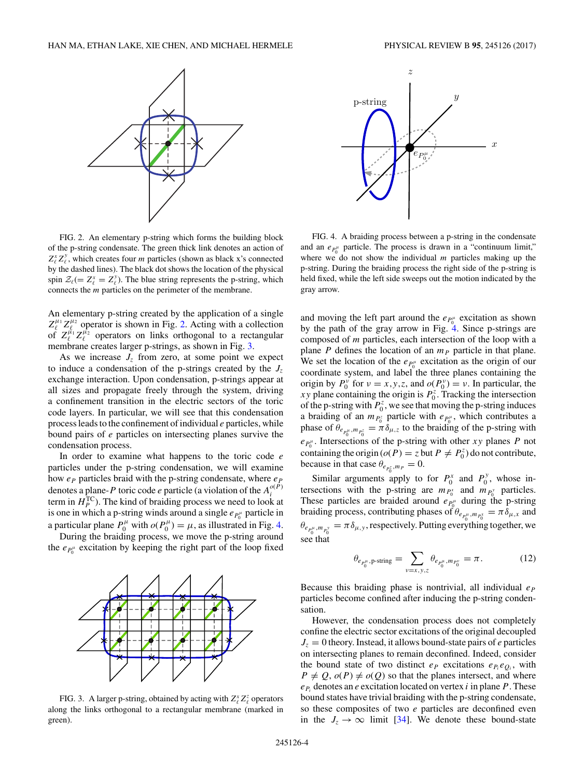<span id="page-3-0"></span>

FIG. 2. An elementary p-string which forms the building block of the p-string condensate. The green thick link denotes an action of  $Z_{\ell}^x Z_{\ell}^y$ , which creates four *m* particles (shown as black x's connected by the dashed lines). The black dot shows the location of the physical spin  $\mathcal{Z}_{\ell} (= Z_{\ell}^{x} = Z_{\ell}^{y})$ . The blue string represents the p-string, which connects the *m* particles on the perimeter of the membrane.

An elementary p-string created by the application of a single  $Z_{\ell}^{\mu_1} Z_{\ell}^{\mu_2}$  operator is shown in Fig. 2. Acting with a collection of  $Z_{\ell}^{\mu_1} Z_{\ell}^{\mu_2}$  operators on links orthogonal to a rectangular membrane creates larger p-strings, as shown in Fig. 3.

As we increase  $J<sub>z</sub>$  from zero, at some point we expect to induce a condensation of the p-strings created by the  $J_z$ exchange interaction. Upon condensation, p-strings appear at all sizes and propagate freely through the system, driving a confinement transition in the electric sectors of the toric code layers. In particular, we will see that this condensation process leads to the confinement of individual *e* particles, while bound pairs of *e* particles on intersecting planes survive the condensation process.

In order to examine what happens to the toric code *e* particles under the p-string condensation, we will examine how  $e_P$  particles braid with the p-string condensate, where  $e_P$ denotes a plane-*P* toric code *e* particle (a violation of the  $A_i^{o(P)}$ term in  $H_P^{\text{TC}}$ ). The kind of braiding process we need to look at is one in which a p-string winds around a single  $e_{P_0^{\mu}}$  particle in a particular plane  $P_0^{\mu}$  with  $o(P_0^{\mu}) = \mu$ , as illustrated in Fig. 4.

During the braiding process, we move the p-string around the  $e_{P_0^{\mu}}$  excitation by keeping the right part of the loop fixed



FIG. 3. A larger p-string, obtained by acting with  $Z_{\ell}^x Z_{\ell}^z$  operators along the links orthogonal to a rectangular membrane (marked in green).



FIG. 4. A braiding process between a p-string in the condensate and an  $e_{P_0^{\mu}}$  particle. The process is drawn in a "continuum limit," where we do not show the individual *m* particles making up the p-string. During the braiding process the right side of the p-string is held fixed, while the left side sweeps out the motion indicated by the gray arrow.

and moving the left part around the  $e_{P_0^{\mu}}$  excitation as shown by the path of the gray arrow in Fig. 4. Since p-strings are composed of *m* particles, each intersection of the loop with a plane  $P$  defines the location of an  $m_P$  particle in that plane. We set the location of the  $e_{P_0^{\mu}}$  excitation as the origin of our coordinate system, and label the three planes containing the origin by  $P_0^{\nu}$  for  $\nu = x, y, z$ , and  $o(P_0^{\nu}) = \nu$ . In particular, the *xy* plane containing the origin is  $P_0^z$ . Tracking the intersection of the p-string with  $P_0^z$ , we see that moving the p-string induces a braiding of an  $m_{P_0^z}$  particle with  $e_{P_0^{\mu}}$ , which contributes a phase of  $\theta_{e_{P_0^{\mu},m_{P_0^z}}} = \pi \delta_{\mu,z}$  to the braiding of the p-string with  $e_{P_0^{\mu}}$ . Intersections of the p-string with other *xy* planes *P* not containing the origin ( $o(P) = z$  but  $P \neq P_0^z$ ) do not contribute, because in that case  $\theta_{e_{P_0^z},m_P}=0$ .

Similar arguments apply to for  $P_0^x$  and  $P_0^y$ , whose intersections with the p-string are  $m_{P_0^x}$  and  $m_{P_0^y}$  particles. These particles are braided around  $e_{P_0^{\mu}}$  during the p-string braiding process, contributing phases of  $\theta_{e_{P_0^{\mu}},m_{P_0^x}} = \pi \delta_{\mu,x}$  and  $\theta_{e_{p_i^{\mu}, m_{p_i^{\nu}}} = \pi \delta_{\mu, y}$ , respectively. Putting everything together, we see that

$$
\theta_{e_{P_0^{\mu}}, \mathbf{p}\text{-string}} = \sum_{\nu=x, y, z} \theta_{e_{P_0^{\mu}}, m_{P_0^{\nu}}} = \pi. \tag{12}
$$

Because this braiding phase is nontrivial, all individual *eP* particles become confined after inducing the p-string condensation.

However, the condensation process does not completely confine the electric sector excitations of the original decoupled  $J_z = 0$  theory. Instead, it allows bound-state pairs of *e* particles on intersecting planes to remain deconfined. Indeed, consider the bound state of two distinct  $e_P$  excitations  $e_{P_i}e_{Q_i}$ , with  $P \neq Q$ ,  $o(P) \neq o(Q)$  so that the planes intersect, and where  $e_{P_i}$  denotes an *e* excitation located on vertex *i* in plane *P*. These bound states have trivial braiding with the p-string condensate, so these composites of two *e* particles are deconfined even in the  $J_z \rightarrow \infty$  limit [\[34\]](#page-17-0). We denote these bound-state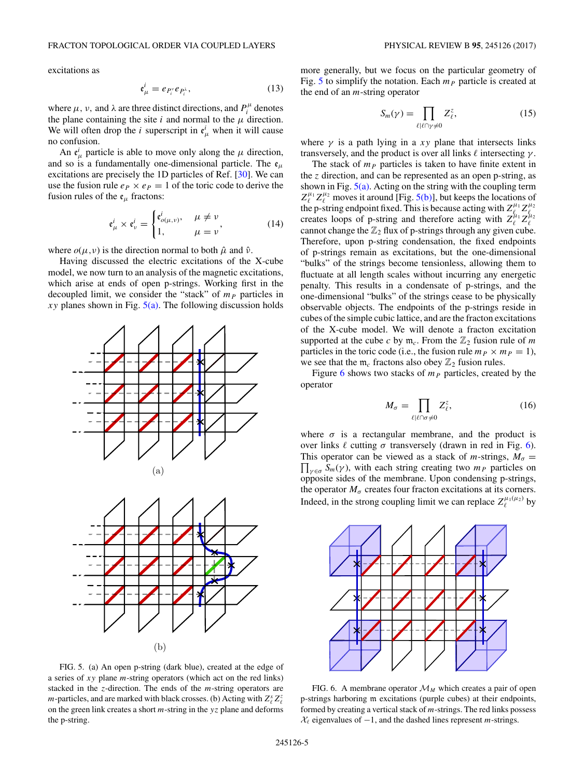$$
\mathfrak{e}^i_\mu = e_{P_i^\nu} e_{P_i^\lambda},\tag{13}
$$

where  $\mu$ ,  $\nu$ , and  $\lambda$  are three distinct directions, and  $P_i^{\mu}$  denotes the plane containing the site  $i$  and normal to the  $\mu$  direction. We will often drop the *i* superscript in  $e^i_\mu$  when it will cause no confusion.

An  $e^i_\mu$  particle is able to move only along the  $\mu$  direction, and so is a fundamentally one-dimensional particle. The  $\mathfrak{e}_{\mu}$ excitations are precisely the 1D particles of Ref. [\[30\]](#page-17-0). We can use the fusion rule  $e_P \times e_P = 1$  of the toric code to derive the fusion rules of the  $e_{\mu}$  fractons:

$$
\mathfrak{e}_{\mu}^{i} \times \mathfrak{e}_{\nu}^{i} = \begin{cases} \mathfrak{e}_{o(\mu,\nu)}^{i}, & \mu \neq \nu \\ 1, & \mu = \nu \end{cases}, \tag{14}
$$

where  $o(\mu, \nu)$  is the direction normal to both  $\hat{\mu}$  and  $\hat{\nu}$ .

Having discussed the electric excitations of the X-cube model, we now turn to an analysis of the magnetic excitations, which arise at ends of open p-strings. Working first in the decoupled limit, we consider the "stack" of  $m<sub>P</sub>$  particles in *xy* planes shown in Fig.  $5(a)$ . The following discussion holds



FIG. 5. (a) An open p-string (dark blue), created at the edge of a series of *xy* plane *m*-string operators (which act on the red links) stacked in the *z*-direction. The ends of the *m*-string operators are *m*-particles, and are marked with black crosses. (b) Acting with  $Z_{\ell}^{x} Z_{\ell}^{z}$  on the green link creates a short *m*-string in the *yz* plane and deforms the p-string.

more generally, but we focus on the particular geometry of Fig. 5 to simplify the notation. Each  $m<sub>P</sub>$  particle is created at the end of an *m*-string operator

$$
S_m(\gamma) = \prod_{\ell \mid \ell \cap \gamma \neq 0} Z_{\ell}^z,\tag{15}
$$

where  $\gamma$  is a path lying in a *xy* plane that intersects links transversely, and the product is over all links  $\ell$  intersecting  $\gamma$ .

The stack of  $m<sub>P</sub>$  particles is taken to have finite extent in the *z* direction, and can be represented as an open p-string, as shown in Fig.  $5(a)$ . Acting on the string with the coupling term  $Z_{\ell}^{\mu_1} Z_{\ell}^{\mu_2}$  moves it around [Fig. 5(b)], but keeps the locations of the p-string endpoint fixed. This is because acting with  $Z_{\ell_1}^{\mu_1} Z_{\ell_2}^{\mu_2}$ creates loops of p-string and therefore acting with  $Z_{\ell}^{\mu_1} Z_{\ell}^{\mu_2}$ cannot change the  $\mathbb{Z}_2$  flux of p-strings through any given cube. Therefore, upon p-string condensation, the fixed endpoints of p-strings remain as excitations, but the one-dimensional "bulks" of the strings become tensionless, allowing them to fluctuate at all length scales without incurring any energetic penalty. This results in a condensate of p-strings, and the one-dimensional "bulks" of the strings cease to be physically observable objects. The endpoints of the p-strings reside in cubes of the simple cubic lattice, and are the fracton excitations of the X-cube model. We will denote a fracton excitation supported at the cube *c* by  $m_c$ . From the  $\mathbb{Z}_2$  fusion rule of *m* particles in the toric code (i.e., the fusion rule  $m_P \times m_P = 1$ ), we see that the  $m_c$  fractons also obey  $\mathbb{Z}_2$  fusion rules.

Figure 6 shows two stacks of  $m<sub>P</sub>$  particles, created by the operator

$$
M_{\sigma} = \prod_{\ell \mid \ell \cap \sigma \neq 0} Z_{\ell}^{z},\tag{16}
$$

where  $\sigma$  is a rectangular membrane, and the product is over links  $\ell$  cutting *σ* transversely (drawn in red in Fig. 6).  $\prod_{\gamma \in \sigma} S_m(\gamma)$ , with each string creating two  $m_P$  particles on This operator can be viewed as a stack of *m*-strings,  $M_{\sigma}$  = opposite sides of the membrane. Upon condensing p-strings, the operator  $M_{\sigma}$  creates four fracton excitations at its corners. Indeed, in the strong coupling limit we can replace  $Z_{\ell}^{\mu_1(\mu_2)}$  by



FIG. 6. A membrane operator  $\mathcal{M}_M$  which creates a pair of open p-strings harboring m excitations (purple cubes) at their endpoints, formed by creating a vertical stack of *m*-strings. The red links possess *X*<sup> $\ell$ </sup> eigenvalues of −1, and the dashed lines represent *m*-strings.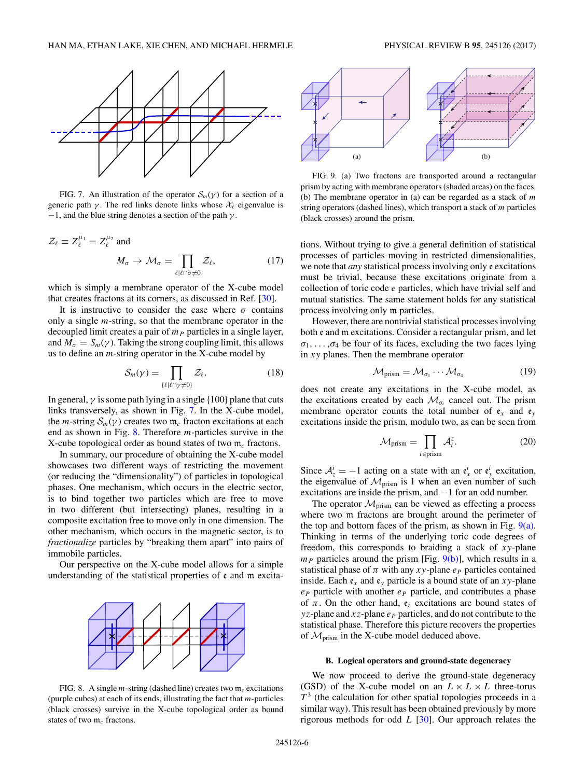<span id="page-5-0"></span>

FIG. 7. An illustration of the operator  $S_m(\gamma)$  for a section of a generic path *γ* . The red links denote links whose X*-* eigenvalue is −1, and the blue string denotes a section of the path *γ* .

$$
\mathcal{Z}_{\ell} \equiv Z_{\ell}^{\mu_1} = Z_{\ell}^{\mu_2} \text{ and}
$$

$$
M_{\sigma} \to \mathcal{M}_{\sigma} = \prod_{\ell \mid \ell \cap \sigma \neq 0} \mathcal{Z}_{\ell},
$$
(17)

which is simply a membrane operator of the X-cube model that creates fractons at its corners, as discussed in Ref. [\[30\]](#page-17-0).

It is instructive to consider the case where  $\sigma$  contains only a single *m*-string, so that the membrane operator in the decoupled limit creates a pair of  $m<sub>P</sub>$  particles in a single layer, and  $M_{\sigma} = S_m(\gamma)$ . Taking the strong coupling limit, this allows us to define an *m*-string operator in the X-cube model by

$$
S_m(\gamma) = \prod_{\{\ell \mid \ell \cap \gamma \neq 0\}} \mathcal{Z}_{\ell}.
$$
 (18)

In general,  $\gamma$  is some path lying in a single {100} plane that cuts links transversely, as shown in Fig. 7. In the X-cube model, the *m*-string  $S_m(\gamma)$  creates two  $m_c$  fracton excitations at each end as shown in Fig. 8. Therefore *m*-particles survive in the X-cube topological order as bound states of two m*<sup>c</sup>* fractons.

In summary, our procedure of obtaining the X-cube model showcases two different ways of restricting the movement (or reducing the "dimensionality") of particles in topological phases. One mechanism, which occurs in the electric sector, is to bind together two particles which are free to move in two different (but intersecting) planes, resulting in a composite excitation free to move only in one dimension. The other mechanism, which occurs in the magnetic sector, is to *fractionalize* particles by "breaking them apart" into pairs of immobile particles.

Our perspective on the X-cube model allows for a simple understanding of the statistical properties of  $\epsilon$  and  $m$  excita-



FIG. 8. A single  $m$ -string (dashed line) creates two  $m_c$  excitations (purple cubes) at each of its ends, illustrating the fact that *m*-particles (black crosses) survive in the X-cube topological order as bound states of two m*<sup>c</sup>* fractons.



FIG. 9. (a) Two fractons are transported around a rectangular prism by acting with membrane operators (shaded areas) on the faces. (b) The membrane operator in (a) can be regarded as a stack of *m* string operators (dashed lines), which transport a stack of *m* particles (black crosses) around the prism.

tions. Without trying to give a general definition of statistical processes of particles moving in restricted dimensionalities, we note that *any* statistical process involving only e excitations must be trivial, because these excitations originate from a collection of toric code *e* particles, which have trivial self and mutual statistics. The same statement holds for any statistical process involving only m particles.

However, there are nontrivial statistical processes involving both e and m excitations. Consider a rectangular prism, and let  $\sigma_1, \ldots, \sigma_4$  be four of its faces, excluding the two faces lying in *xy* planes. Then the membrane operator

$$
\mathcal{M}_{\text{prism}} = \mathcal{M}_{\sigma_1} \cdots \mathcal{M}_{\sigma_4} \tag{19}
$$

does not create any excitations in the X-cube model, as the excitations created by each  $\mathcal{M}_{\sigma_i}$  cancel out. The prism membrane operator counts the total number of  $\mathfrak{e}_x$  and  $\mathfrak{e}_y$ excitations inside the prism, modulo two, as can be seen from

$$
\mathcal{M}_{\text{prism}} = \prod_{i \in \text{prism}} \mathcal{A}_i^z.
$$
 (20)

Since  $A^i_z = -1$  acting on a state with an  $e^i_x$  or  $e^i_y$  excitation, the eigenvalue of  $\mathcal{M}_{\text{prism}}$  is 1 when an even number of such excitations are inside the prism, and −1 for an odd number.

The operator  $\mathcal{M}_{\text{prism}}$  can be viewed as effecting a process where two m fractons are brought around the perimeter of the top and bottom faces of the prism, as shown in Fig.  $9(a)$ . Thinking in terms of the underlying toric code degrees of freedom, this corresponds to braiding a stack of *xy*-plane  $m_P$  particles around the prism [Fig.  $9(b)$ ], which results in a statistical phase of  $\pi$  with any  $xy$ -plane  $e_p$  particles contained inside. Each  $e_x$  and  $e_y$  particle is a bound state of an *xy*-plane  $e_P$  particle with another  $e_P$  particle, and contributes a phase of  $\pi$ . On the other hand,  $\mathfrak{e}_z$  excitations are bound states of *yz*-plane and  $xz$ -plane  $e_P$  particles, and do not contribute to the statistical phase. Therefore this picture recovers the properties of  $\mathcal{M}_{\text{prism}}$  in the X-cube model deduced above.

#### **B. Logical operators and ground-state degeneracy**

We now proceed to derive the ground-state degeneracy (GSD) of the X-cube model on an  $L \times L \times L$  three-torus  $T<sup>3</sup>$  (the calculation for other spatial topologies proceeds in a similar way). This result has been obtained previously by more rigorous methods for odd *L* [\[30\]](#page-17-0). Our approach relates the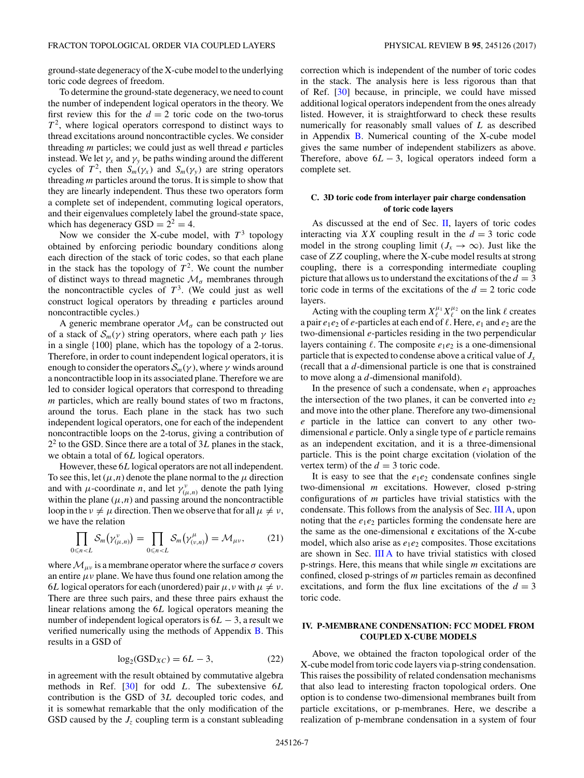<span id="page-6-0"></span>ground-state degeneracy of the X-cube model to the underlying toric code degrees of freedom.

To determine the ground-state degeneracy, we need to count the number of independent logical operators in the theory. We first review this for the  $d = 2$  toric code on the two-torus  $T<sup>2</sup>$ , where logical operators correspond to distinct ways to thread excitations around noncontractible cycles. We consider threading *m* particles; we could just as well thread *e* particles instead. We let  $\gamma_x$  and  $\gamma_y$  be paths winding around the different cycles of  $T^2$ , then  $S_m(\gamma_x)$  and  $S_m(\gamma_y)$  are string operators threading *m* particles around the torus. It is simple to show that they are linearly independent. Thus these two operators form a complete set of independent, commuting logical operators, and their eigenvalues completely label the ground-state space, which has degeneracy  $GSD = 2^2 = 4$ .

Now we consider the X-cube model, with  $T^3$  topology obtained by enforcing periodic boundary conditions along each direction of the stack of toric codes, so that each plane in the stack has the topology of  $T^2$ . We count the number of distinct ways to thread magnetic  $\mathcal{M}_{\sigma}$  membranes through the noncontractible cycles of  $T<sup>3</sup>$ . (We could just as well construct logical operators by threading e particles around noncontractible cycles.)

A generic membrane operator  $\mathcal{M}_{\sigma}$  can be constructed out of a stack of  $S_m(\gamma)$  string operators, where each path  $\gamma$  lies in a single {100} plane, which has the topology of a 2-torus. Therefore, in order to count independent logical operators, it is enough to consider the operators  $S_m(\gamma)$ , where  $\gamma$  winds around a noncontractible loop in its associated plane. Therefore we are led to consider logical operators that correspond to threading *m* particles, which are really bound states of two m fractons, around the torus. Each plane in the stack has two such independent logical operators, one for each of the independent noncontractible loops on the 2-torus, giving a contribution of  $2<sup>2</sup>$  to the GSD. Since there are a total of 3L planes in the stack, we obtain a total of 6*L* logical operators.

However, these 6*L* logical operators are not all independent. To see this, let  $(\mu, n)$  denote the plane normal to the  $\mu$  direction and with  $\mu$ -coordinate *n*, and let  $\gamma_{(\mu,n)}^{\nu}$  denote the path lying within the plane  $(\mu, n)$  and passing around the noncontractible loop in the  $\nu \neq \mu$  direction. Then we observe that for all  $\mu \neq \nu$ , we have the relation

$$
\prod_{0 \le n < L} \mathcal{S}_m(\gamma_{(\mu,n)}^{\nu}) = \prod_{0 \le n < L} \mathcal{S}_m(\gamma_{(\nu,n)}^{\mu}) = \mathcal{M}_{\mu\nu},\tag{21}
$$

where  $\mathcal{M}_{\mu\nu}$  is a membrane operator where the surface  $\sigma$  covers an entire  $\mu \nu$  plane. We have thus found one relation among the 6*L* logical operators for each (unordered) pair  $\mu$ , *ν* with  $\mu \neq \nu$ . There are three such pairs, and these three pairs exhaust the linear relations among the 6*L* logical operators meaning the number of independent logical operators is 6*L* − 3, a result we verified numerically using the methods of Appendix [B.](#page-15-0) This results in a GSD of

$$
\log_2(\text{GSD}_{XC}) = 6L - 3,\tag{22}
$$

in agreement with the result obtained by commutative algebra methods in Ref. [\[30\]](#page-17-0) for odd *L*. The subextensive 6*L* contribution is the GSD of 3*L* decoupled toric codes, and it is somewhat remarkable that the only modification of the GSD caused by the  $J_z$  coupling term is a constant subleading correction which is independent of the number of toric codes in the stack. The analysis here is less rigorous than that of Ref. [\[30\]](#page-17-0) because, in principle, we could have missed additional logical operators independent from the ones already listed. However, it is straightforward to check these results numerically for reasonably small values of *L* as described in Appendix  $\overline{B}$ . Numerical counting of the X-cube model gives the same number of independent stabilizers as above. Therefore, above  $6L - 3$ , logical operators indeed form a complete set.

### **C. 3D toric code from interlayer pair charge condensation of toric code layers**

As discussed at the end of Sec.  $II$ , layers of toric codes interacting via *XX* coupling result in the  $d = 3$  toric code model in the strong coupling limit  $(J_x \to \infty)$ . Just like the case of *ZZ* coupling, where the X-cube model results at strong coupling, there is a corresponding intermediate coupling picture that allows us to understand the excitations of the  $d = 3$ toric code in terms of the excitations of the  $d = 2$  toric code layers.

Acting with the coupling term  $X_{\ell}^{\mu_1} X_{\ell}^{\mu_2}$  on the link  $\ell$  creates a pair  $e_1e_2$  of  $e$ -particles at each end of  $\ell$ . Here,  $e_1$  and  $e_2$  are the two-dimensional *e*-particles residing in the two perpendicular layers containing  $\ell$ . The composite  $e_1e_2$  is a one-dimensional particle that is expected to condense above a critical value of  $J<sub>x</sub>$ (recall that a *d*-dimensional particle is one that is constrained to move along a *d*-dimensional manifold).

In the presence of such a condensate, when  $e_1$  approaches the intersection of the two planes, it can be converted into  $e_2$ and move into the other plane. Therefore any two-dimensional *e* particle in the lattice can convert to any other twodimensional *e* particle. Only a single type of *e* particle remains as an independent excitation, and it is a three-dimensional particle. This is the point charge excitation (violation of the vertex term) of the  $d = 3$  toric code.

It is easy to see that the  $e_1e_2$  condensate confines single two-dimensional *m* excitations. However, closed p-string configurations of *m* particles have trivial statistics with the condensate. This follows from the analysis of Sec. [III A,](#page-2-0) upon noting that the  $e_1e_2$  particles forming the condensate here are the same as the one-dimensional  $\epsilon$  excitations of the X-cube model, which also arise as  $e_1e_2$  composites. Those excitations are shown in Sec.  $\overline{III}$  A to have trivial statistics with closed p-strings. Here, this means that while single *m* excitations are confined, closed p-strings of *m* particles remain as deconfined excitations, and form the flux line excitations of the  $d = 3$ toric code.

## **IV. P-MEMBRANE CONDENSATION: FCC MODEL FROM COUPLED X-CUBE MODELS**

Above, we obtained the fracton topological order of the X-cube model from toric code layers via p-string condensation. This raises the possibility of related condensation mechanisms that also lead to interesting fracton topological orders. One option is to condense two-dimensional membranes built from particle excitations, or p-membranes. Here, we describe a realization of p-membrane condensation in a system of four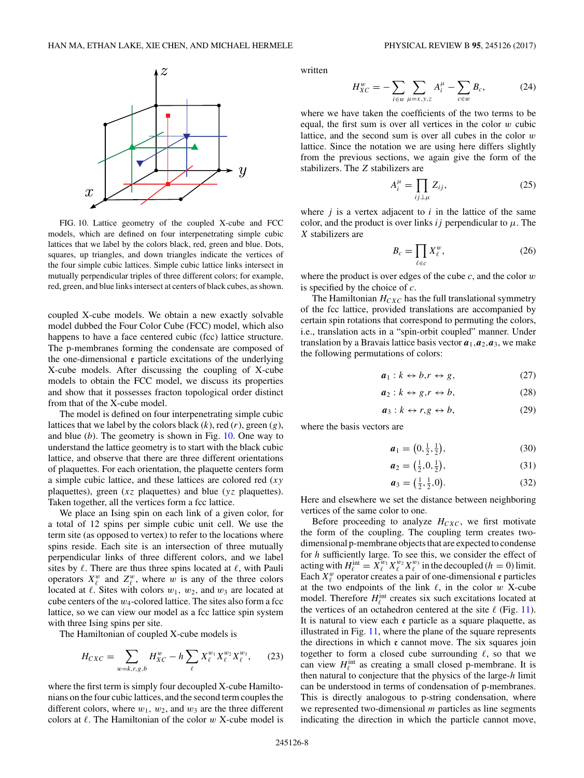<span id="page-7-0"></span>

FIG. 10. Lattice geometry of the coupled X-cube and FCC models, which are defined on four interpenetrating simple cubic lattices that we label by the colors black, red, green and blue. Dots, squares, up triangles, and down triangles indicate the vertices of the four simple cubic lattices. Simple cubic lattice links intersect in mutually perpendicular triples of three different colors; for example, red, green, and blue links intersect at centers of black cubes, as shown.

coupled X-cube models. We obtain a new exactly solvable model dubbed the Four Color Cube (FCC) model, which also happens to have a face centered cubic (fcc) lattice structure. The p-membranes forming the condensate are composed of the one-dimensional e particle excitations of the underlying X-cube models. After discussing the coupling of X-cube models to obtain the FCC model, we discuss its properties and show that it possesses fracton topological order distinct from that of the X-cube model.

The model is defined on four interpenetrating simple cubic lattices that we label by the colors black (*k*), red (*r*), green (*g*), and blue (*b*). The geometry is shown in Fig. 10. One way to understand the lattice geometry is to start with the black cubic lattice, and observe that there are three different orientations of plaquettes. For each orientation, the plaquette centers form a simple cubic lattice, and these lattices are colored red (*xy* plaquettes), green (*xz* plaquettes) and blue (*yz* plaquettes). Taken together, all the vertices form a fcc lattice.

We place an Ising spin on each link of a given color, for a total of 12 spins per simple cubic unit cell. We use the term site (as opposed to vertex) to refer to the locations where spins reside. Each site is an intersection of three mutually perpendicular links of three different colors, and we label sites by  $\ell$ . There are thus three spins located at  $\ell$ , with Pauli operators  $X^w_\ell$  and  $Z^w_\ell$ , where *w* is any of the three colors located at  $\ell$ . Sites with colors  $w_1$ ,  $w_2$ , and  $w_3$  are located at cube centers of the *w*<sub>4</sub>-colored lattice. The sites also form a fcc lattice, so we can view our model as a fcc lattice spin system with three Ising spins per site.

The Hamiltonian of coupled X-cube models is

$$
H_{CXC} = \sum_{w=k,r,g,b} H_{XC}^w - h \sum_{\ell} X_{\ell}^{w_1} X_{\ell}^{w_2} X_{\ell}^{w_3},\qquad(23)
$$

where the first term is simply four decoupled X-cube Hamiltonians on the four cubic lattices, and the second term couples the different colors, where  $w_1$ ,  $w_2$ , and  $w_3$  are the three different colors at  $\ell$ . The Hamiltonian of the color  $w$  X-cube model is

written

$$
H_{XC}^w = -\sum_{i \in w} \sum_{\mu = x, y, z} A_i^{\mu} - \sum_{c \in w} B_c,
$$
 (24)

where we have taken the coefficients of the two terms to be equal, the first sum is over all vertices in the color *w* cubic lattice, and the second sum is over all cubes in the color *w* lattice. Since the notation we are using here differs slightly from the previous sections, we again give the form of the stabilizers. The *Z* stabilizers are

$$
A_i^{\mu} = \prod_{ij \perp \mu} Z_{ij}, \tag{25}
$$

where  $j$  is a vertex adjacent to  $i$  in the lattice of the same color, and the product is over links  $ij$  perpendicular to  $\mu$ . The *X* stabilizers are

$$
B_c = \prod_{\ell \in c} X_{\ell}^w,\tag{26}
$$

where the product is over edges of the cube *c*, and the color *w* is specified by the choice of *c*.

The Hamiltonian  $H_{CXC}$  has the full translational symmetry of the fcc lattice, provided translations are accompanied by certain spin rotations that correspond to permuting the colors, i.e., translation acts in a "spin-orbit coupled" manner. Under translation by a Bravais lattice basis vector  $a_1$ ,  $a_2$ ,  $a_3$ , we make the following permutations of colors:

$$
a_1: k \leftrightarrow b, r \leftrightarrow g,\tag{27}
$$

$$
a_2: k \leftrightarrow g, r \leftrightarrow b,\tag{28}
$$

$$
a_3: k \leftrightarrow r, g \leftrightarrow b,\tag{29}
$$

where the basis vectors are

$$
\boldsymbol{a}_1 = \left(0, \frac{1}{2}, \frac{1}{2}\right),\tag{30}
$$

$$
a_2 = \left(\frac{1}{2}, 0, \frac{1}{2}\right),\tag{31}
$$

$$
a_3 = \left(\frac{1}{2}, \frac{1}{2}, 0\right). \tag{32}
$$

Here and elsewhere we set the distance between neighboring vertices of the same color to one.

Before proceeding to analyze  $H_{CXC}$ , we first motivate the form of the coupling. The coupling term creates twodimensional p-membrane objects that are expected to condense for *h* sufficiently large. To see this, we consider the effect of acting with  $H_{\ell}^{\text{int}} = X_{\ell}^{w_1} X_{\ell}^{w_2} X_{\ell}^{w_3}$  in the decoupled (*h* = 0) limit. Each  $X^w_\ell$  operator creates a pair of one-dimensional  $\epsilon$  particles at the two endpoints of the link  $\ell$ , in the color  $w$  X-cube model. Therefore  $H_{\ell}^{\text{int}}$  creates six such excitations located at the vertices of an octahedron centered at the site  $\ell$  (Fig. [11\)](#page-8-0). It is natural to view each e particle as a square plaquette, as illustrated in Fig. [11,](#page-8-0) where the plane of the square represents the directions in which  $\epsilon$  cannot move. The six squares join together to form a closed cube surrounding  $\ell$ , so that we can view  $H_{\ell}^{\text{int}}$  as creating a small closed p-membrane. It is then natural to conjecture that the physics of the large-*h* limit can be understood in terms of condensation of p-membranes. This is directly analogous to p-string condensation, where we represented two-dimensional *m* particles as line segments indicating the direction in which the particle cannot move,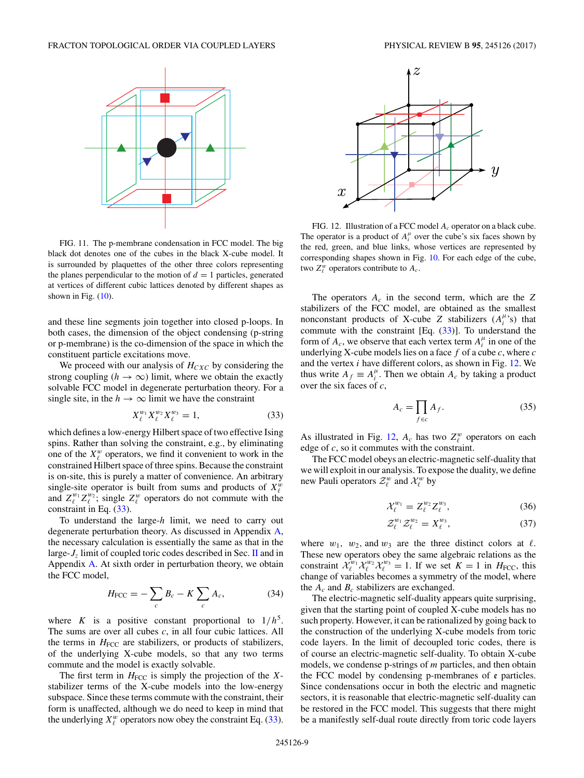<span id="page-8-0"></span>

FIG. 11. The p-membrane condensation in FCC model. The big black dot denotes one of the cubes in the black X-cube model. It is surrounded by plaquettes of the other three colors representing the planes perpendicular to the motion of  $d = 1$  particles, generated at vertices of different cubic lattices denoted by different shapes as shown in Fig.  $(10)$ .

and these line segments join together into closed p-loops. In both cases, the dimension of the object condensing (p-string or p-membrane) is the co-dimension of the space in which the constituent particle excitations move.

We proceed with our analysis of  $H<sub>CXC</sub>$  by considering the strong coupling ( $h \to \infty$ ) limit, where we obtain the exactly solvable FCC model in degenerate perturbation theory. For a single site, in the  $h \to \infty$  limit we have the constraint

$$
X_{\ell}^{w_1} X_{\ell}^{w_2} X_{\ell}^{w_3} = 1, \tag{33}
$$

which defines a low-energy Hilbert space of two effective Ising spins. Rather than solving the constraint, e.g., by eliminating one of the  $X^w_\ell$  operators, we find it convenient to work in the constrained Hilbert space of three spins. Because the constraint is on-site, this is purely a matter of convenience. An arbitrary single-site operator is built from sums and products of  $X^w_\ell$ and  $Z_{\ell}^{w_1} Z_{\ell}^{w_2}$ ; single  $Z_{\ell}^w$  operators do not commute with the constraint in Eq.  $(33)$ .

To understand the large-*h* limit, we need to carry out degenerate perturbation theory. As discussed in Appendix [A,](#page-13-0) the necessary calculation is essentially the same as that in the large-*Jz* limit of coupled toric codes described in Sec. [II](#page-1-0) and in Appendix [A.](#page-13-0) At sixth order in perturbation theory, we obtain the FCC model,

$$
H_{\text{FCC}} = -\sum_{c} B_c - K \sum_{c} A_c, \tag{34}
$$

where *K* is a positive constant proportional to  $1/h^5$ . The sums are over all cubes *c*, in all four cubic lattices. All the terms in  $H_{\text{FCC}}$  are stabilizers, or products of stabilizers, of the underlying X-cube models, so that any two terms commute and the model is exactly solvable.

The first term in  $H_{\text{FCC}}$  is simply the projection of the  $X$ stabilizer terms of the X-cube models into the low-energy subspace. Since these terms commute with the constraint, their form is unaffected, although we do need to keep in mind that the underlying  $X^w_\ell$  operators now obey the constraint Eq. (33).



FIG. 12. Illustration of a FCC model *Ac* operator on a black cube. The operator is a product of  $A_i^{\mu}$  over the cube's six faces shown by the red, green, and blue links, whose vertices are represented by corresponding shapes shown in Fig. [10.](#page-7-0) For each edge of the cube, two  $Z_{\ell}^{w}$  operators contribute to  $A_{c}$ .

The operators  $A_c$  in the second term, which are the  $Z$ stabilizers of the FCC model, are obtained as the smallest nonconstant products of X-cube *Z* stabilizers  $(A_i^{\mu,s})$  that commute with the constraint [Eq. (33)]. To understand the form of  $A_c$ , we observe that each vertex term  $A_i^{\mu}$  in one of the underlying X-cube models lies on a face *f* of a cube *c*, where *c* and the vertex *i* have different colors, as shown in Fig. 12. We thus write  $A_f \equiv A_i^{\mu}$ . Then we obtain  $A_c$  by taking a product over the six faces of *c*,

$$
A_c = \prod_{f \in c} A_f. \tag{35}
$$

As illustrated in Fig. 12,  $A_c$  has two  $Z^w_\ell$  operators on each edge of *c*, so it commutes with the constraint.

The FCC model obeys an electric-magnetic self-duality that we will exploit in our analysis. To expose the duality, we define new Pauli operators  $\mathcal{Z}_{\ell}^{w}$  and  $\mathcal{X}_{\ell}^{w}$  by

$$
\mathcal{X}_{\ell}^{w_1} = Z_{\ell}^{w_2} Z_{\ell}^{w_3},\tag{36}
$$

$$
\mathcal{Z}_{\ell}^{w_1} \mathcal{Z}_{\ell}^{w_2} = X_{\ell}^{w_3},\tag{37}
$$

where  $w_1$ ,  $w_2$ , and  $w_3$  are the three distinct colors at  $\ell$ . These new operators obey the same algebraic relations as the constraint  $\mathcal{X}_{\ell}^{w_1} \mathcal{X}_{\ell}^{w_2} \mathcal{X}_{\ell}^{w_3} = 1$ . If we set  $K = 1$  in  $H_{\text{FCC}}$ , this change of variables becomes a symmetry of the model, where the  $A_c$  and  $B_c$  stabilizers are exchanged.

The electric-magnetic self-duality appears quite surprising, given that the starting point of coupled X-cube models has no such property. However, it can be rationalized by going back to the construction of the underlying X-cube models from toric code layers. In the limit of decoupled toric codes, there is of course an electric-magnetic self-duality. To obtain X-cube models, we condense p-strings of *m* particles, and then obtain the FCC model by condensing p-membranes of  $e$  particles. Since condensations occur in both the electric and magnetic sectors, it is reasonable that electric-magnetic self-duality can be restored in the FCC model. This suggests that there might be a manifestly self-dual route directly from toric code layers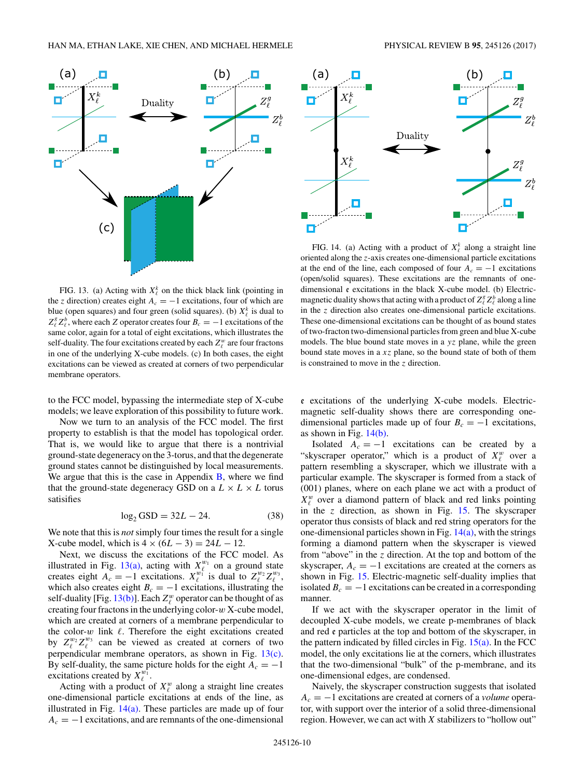<span id="page-9-0"></span>

FIG. 13. (a) Acting with  $X^k$  on the thick black link (pointing in the *z* direction) creates eight  $A_c = -1$  excitations, four of which are blue (open squares) and four green (solid squares). (b)  $X^k_{\ell}$  is dual to  $Z_{\ell}^{g} Z_{\ell}^{b}$ , where each *Z* operator creates four *B<sub>c</sub>* = −1 excitations of the same color, again for a total of eight excitations, which illustrates the self-duality. The four excitations created by each  $Z^w_\ell$  are four fractons in one of the underlying X-cube models. (c) In both cases, the eight excitations can be viewed as created at corners of two perpendicular membrane operators.

to the FCC model, bypassing the intermediate step of X-cube models; we leave exploration of this possibility to future work.

Now we turn to an analysis of the FCC model. The first property to establish is that the model has topological order. That is, we would like to argue that there is a nontrivial ground-state degeneracy on the 3-torus, and that the degenerate ground states cannot be distinguished by local measurements. We argue that this is the case in Appendix  $\overline{B}$ , where we find that the ground-state degeneracy GSD on a  $L \times L \times L$  torus satisifies

$$
\log_2 GSD = 32L - 24. \tag{38}
$$

We note that this is *not* simply four times the result for a single X-cube model, which is  $4 \times (6L − 3) = 24L − 12$ .

Next, we discuss the excitations of the FCC model. As illustrated in Fig. 13(a), acting with  $X^{w_1}_{\ell}$  on a ground state creates eight  $A_c = -1$  excitations.  $X_{\ell}^{w_1}$  is dual to  $Z_{\ell}^{w_2} Z_{\ell}^{w_3}$ , which also creates eight  $B_c = -1$  excitations, illustrating the self-duality [Fig. 13(b)]. Each  $Z^w_\ell$  operator can be thought of as creating four fractons in the underlying color-*w* X-cube model, which are created at corners of a membrane perpendicular to the color- $w$  link  $\ell$ . Therefore the eight excitations created by  $Z_{\ell}^{w_2}Z_{\ell}^{w_3}$  can be viewed as created at corners of two perpendicular membrane operators, as shown in Fig. 13(c). By self-duality, the same picture holds for the eight  $A_c = -1$ excitations created by  $X_{\ell}^{w_1}$ .

Acting with a product of  $X^w_\ell$  along a straight line creates one-dimensional particle excitations at ends of the line, as illustrated in Fig.  $14(a)$ . These particles are made up of four  $A_c = -1$  excitations, and are remnants of the one-dimensional



FIG. 14. (a) Acting with a product of  $X_{\ell}^{k}$  along a straight line oriented along the *z*-axis creates one-dimensional particle excitations at the end of the line, each composed of four  $A_c = -1$  excitations (open/solid squares). These excitations are the remnants of onedimensional e excitations in the black X-cube model. (b) Electricmagnetic duality shows that acting with a product of  $Z^g_\ell Z^b_\ell$  along a line in the *z* direction also creates one-dimensional particle excitations. These one-dimensional excitations can be thought of as bound states of two-fracton two-dimensional particles from green and blue X-cube models. The blue bound state moves in a *yz* plane, while the green bound state moves in a *xz* plane, so the bound state of both of them is constrained to move in the *z* direction.

e excitations of the underlying X-cube models. Electricmagnetic self-duality shows there are corresponding onedimensional particles made up of four  $B_c = -1$  excitations, as shown in Fig. 14(b).

Isolated  $A_c = -1$  excitations can be created by a "skyscraper operator," which is a product of  $X^w_\ell$  over a pattern resembling a skyscraper, which we illustrate with a particular example. The skyscraper is formed from a stack of (001) planes, where on each plane we act with a product of  $X^w_\ell$  over a diamond pattern of black and red links pointing in the *z* direction, as shown in Fig. [15.](#page-10-0) The skyscraper operator thus consists of black and red string operators for the one-dimensional particles shown in Fig.  $14(a)$ , with the strings forming a diamond pattern when the skyscraper is viewed from "above" in the *z* direction. At the top and bottom of the skyscraper,  $A_c = -1$  excitations are created at the corners as shown in Fig. [15.](#page-10-0) Electric-magnetic self-duality implies that isolated  $B_c = -1$  excitations can be created in a corresponding manner.

If we act with the skyscraper operator in the limit of decoupled X-cube models, we create p-membranes of black and red e particles at the top and bottom of the skyscraper, in the pattern indicated by filled circles in Fig.  $15(a)$ . In the FCC model, the only excitations lie at the corners, which illustrates that the two-dimensional "bulk" of the p-membrane, and its one-dimensional edges, are condensed.

Naively, the skyscraper construction suggests that isolated *Ac* = −1 excitations are created at corners of a *volume* operator, with support over the interior of a solid three-dimensional region. However, we can act with *X* stabilizers to "hollow out"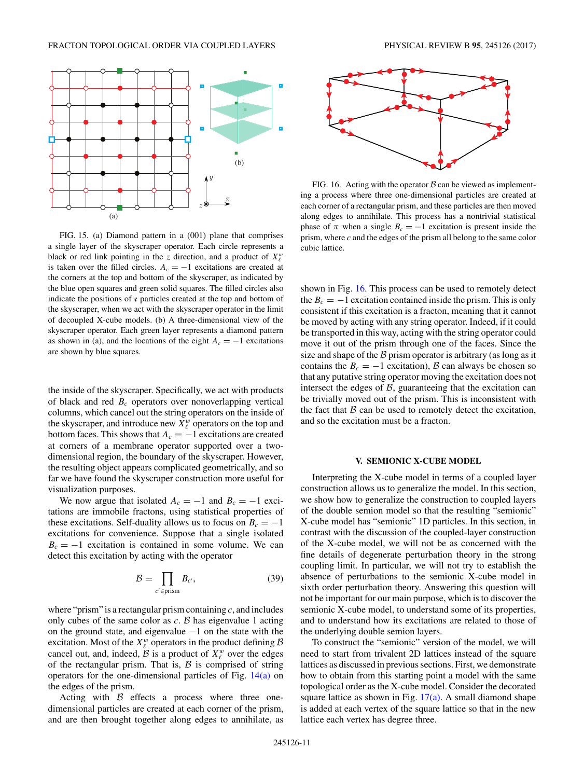<span id="page-10-0"></span>

FIG. 15. (a) Diamond pattern in a (001) plane that comprises a single layer of the skyscraper operator. Each circle represents a black or red link pointing in the *z* direction, and a product of  $X^w_\ell$ is taken over the filled circles.  $A_c = -1$  excitations are created at the corners at the top and bottom of the skyscraper, as indicated by the blue open squares and green solid squares. The filled circles also indicate the positions of e particles created at the top and bottom of the skyscraper, when we act with the skyscraper operator in the limit of decoupled X-cube models. (b) A three-dimensional view of the skyscraper operator. Each green layer represents a diamond pattern as shown in (a), and the locations of the eight  $A_c = -1$  excitations are shown by blue squares.

the inside of the skyscraper. Specifically, we act with products of black and red *Bc* operators over nonoverlapping vertical columns, which cancel out the string operators on the inside of the skyscraper, and introduce new  $X^w_\ell$  operators on the top and bottom faces. This shows that  $A_c = -1$  excitations are created at corners of a membrane operator supported over a twodimensional region, the boundary of the skyscraper. However, the resulting object appears complicated geometrically, and so far we have found the skyscraper construction more useful for visualization purposes.

We now argue that isolated  $A_c = -1$  and  $B_c = -1$  excitations are immobile fractons, using statistical properties of these excitations. Self-duality allows us to focus on  $B_c = -1$ excitations for convenience. Suppose that a single isolated  $B_c = -1$  excitation is contained in some volume. We can detect this excitation by acting with the operator

$$
\mathcal{B} = \prod_{c' \in \text{prism}} B_{c'},\tag{39}
$$

where "prism" is a rectangular prism containing *c*, and includes only cubes of the same color as *c*. B has eigenvalue 1 acting on the ground state, and eigenvalue −1 on the state with the excitation. Most of the  $X^w_\ell$  operators in the product defining B cancel out, and, indeed,  $\hat{B}$  is a product of  $X^w_\ell$  over the edges of the rectangular prism. That is,  $\beta$  is comprised of string operators for the one-dimensional particles of Fig. [14\(a\)](#page-9-0) on the edges of the prism.

Acting with  $\beta$  effects a process where three onedimensional particles are created at each corner of the prism, and are then brought together along edges to annihilate, as



FIG. 16. Acting with the operator  $\beta$  can be viewed as implementing a process where three one-dimensional particles are created at each corner of a rectangular prism, and these particles are then moved along edges to annihilate. This process has a nontrivial statistical phase of  $\pi$  when a single  $B_c = -1$  excitation is present inside the prism, where *c* and the edges of the prism all belong to the same color cubic lattice.

shown in Fig. 16. This process can be used to remotely detect the  $B_c = -1$  excitation contained inside the prism. This is only consistent if this excitation is a fracton, meaning that it cannot be moved by acting with any string operator. Indeed, if it could be transported in this way, acting with the string operator could move it out of the prism through one of the faces. Since the size and shape of the  $\beta$  prism operator is arbitrary (as long as it contains the  $B_c = -1$  excitation), B can always be chosen so that any putative string operator moving the excitation does not intersect the edges of  $B$ , guaranteeing that the excitation can be trivially moved out of the prism. This is inconsistent with the fact that  $\beta$  can be used to remotely detect the excitation, and so the excitation must be a fracton.

#### **V. SEMIONIC X-CUBE MODEL**

Interpreting the X-cube model in terms of a coupled layer construction allows us to generalize the model. In this section, we show how to generalize the construction to coupled layers of the double semion model so that the resulting "semionic" X-cube model has "semionic" 1D particles. In this section, in contrast with the discussion of the coupled-layer construction of the X-cube model, we will not be as concerned with the fine details of degenerate perturbation theory in the strong coupling limit. In particular, we will not try to establish the absence of perturbations to the semionic X-cube model in sixth order perturbation theory. Answering this question will not be important for our main purpose, which is to discover the semionic X-cube model, to understand some of its properties, and to understand how its excitations are related to those of the underlying double semion layers.

To construct the "semionic" version of the model, we will need to start from trivalent 2D lattices instead of the square lattices as discussed in previous sections. First, we demonstrate how to obtain from this starting point a model with the same topological order as the X-cube model. Consider the decorated square lattice as shown in Fig.  $17(a)$ . A small diamond shape is added at each vertex of the square lattice so that in the new lattice each vertex has degree three.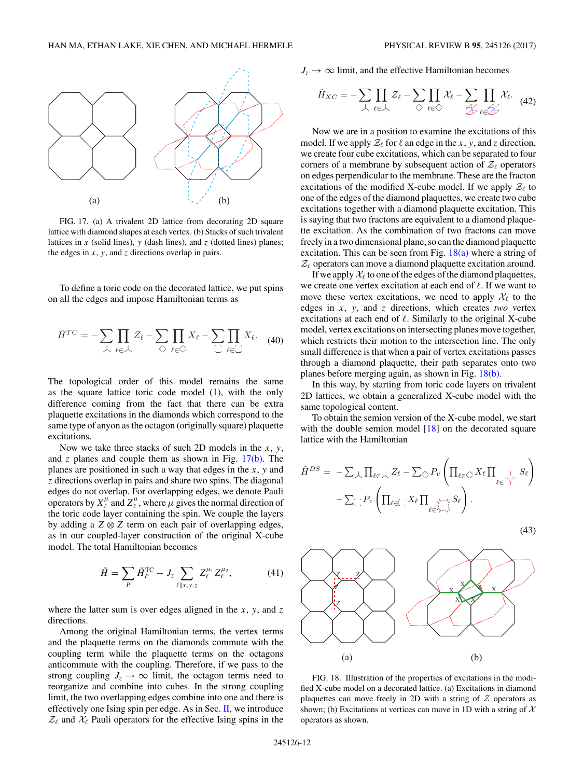<span id="page-11-0"></span>

FIG. 17. (a) A trivalent 2D lattice from decorating 2D square lattice with diamond shapes at each vertex. (b) Stacks of such trivalent lattices in  $x$  (solid lines),  $y$  (dash lines), and  $z$  (dotted lines) planes; the edges in *x*, *y*, and *z* directions overlap in pairs.

To define a toric code on the decorated lattice, we put spins on all the edges and impose Hamiltonian terms as

$$
\tilde{H}^{TC} = -\sum_{\lambda} \prod_{\ell \in \lambda} Z_{\ell} - \sum_{\diamondsuit} \prod_{\ell \in \diamondsuit} X_{\ell} - \sum_{\square} \prod_{\ell \in \square} X_{\ell}.
$$
 (40)

The topological order of this model remains the same as the square lattice toric code model [\(1\)](#page-1-0), with the only difference coming from the fact that there can be extra plaquette excitations in the diamonds which correspond to the same type of anyon as the octagon (originally square) plaquette excitations.

Now we take three stacks of such 2D models in the *x*, *y*, and  $\zeta$  planes and couple them as shown in Fig.  $17(b)$ . The planes are positioned in such a way that edges in the *x*, *y* and *z* directions overlap in pairs and share two spins. The diagonal edges do not overlap. For overlapping edges, we denote Pauli operators by  $X_\ell^\mu$  and  $Z_\ell^\mu$ , where  $\mu$  gives the normal direction of the toric code layer containing the spin. We couple the layers by adding a  $Z \otimes Z$  term on each pair of overlapping edges, as in our coupled-layer construction of the original X-cube model. The total Hamiltonian becomes

$$
\tilde{H} = \sum_{P} \tilde{H}_{P}^{TC} - J_{z} \sum_{\ell | x, y, z} Z_{\ell}^{\mu_{1}} Z_{\ell}^{\mu_{2}}, \qquad (41)
$$

where the latter sum is over edges aligned in the  $x$ ,  $y$ , and  $z$ directions.

Among the original Hamiltonian terms, the vertex terms and the plaquette terms on the diamonds commute with the coupling term while the plaquette terms on the octagons anticommute with the coupling. Therefore, if we pass to the strong coupling  $J_z \rightarrow \infty$  limit, the octagon terms need to reorganize and combine into cubes. In the strong coupling limit, the two overlapping edges combine into one and there is effectively one Ising spin per edge. As in Sec. [II,](#page-1-0) we introduce  $\mathcal{Z}_{\ell}$  and  $\mathcal{X}_{\ell}$  Pauli operators for the effective Ising spins in the

 $J_z \rightarrow \infty$  limit, and the effective Hamiltonian becomes

$$
\tilde{H}_{XC} = -\sum_{\lambda} \prod_{\ell \in \lambda} \mathcal{Z}_{\ell} - \sum_{\zeta} \prod_{\ell \in \zeta} \mathcal{X}_{\ell} - \sum_{\mathcal{D}} \prod_{\ell \in \mathcal{D}} \mathcal{X}_{\ell}.
$$
 (42)

Now we are in a position to examine the excitations of this model. If we apply  $\mathcal{Z}_{\ell}$  for  $\ell$  an edge in the *x*, *y*, and *z* direction, we create four cube excitations, which can be separated to four corners of a membrane by subsequent action of  $\mathcal{Z}_{\ell}$  operators on edges perpendicular to the membrane. These are the fracton excitations of the modified X-cube model. If we apply  $\mathcal{Z}_{\ell}$  to one of the edges of the diamond plaquettes, we create two cube excitations together with a diamond plaquette excitation. This is saying that two fractons are equivalent to a diamond plaquette excitation. As the combination of two fractons can move freely in a two dimensional plane, so can the diamond plaquette excitation. This can be seen from Fig.  $18(a)$  where a string of  $\mathcal{Z}_\ell$  operators can move a diamond plaquette excitation around.

If we apply  $\mathcal{X}_{\ell}$  to one of the edges of the diamond plaquettes, we create one vertex excitation at each end of  $\ell$ . If we want to move these vertex excitations, we need to apply  $\mathcal{X}_{\ell}$  to the edges in *x*, *y*, and *z* directions, which creates *two* vertex excitations at each end of  $\ell$ . Similarly to the original X-cube model, vertex excitations on intersecting planes move together, which restricts their motion to the intersection line. The only small difference is that when a pair of vertex excitations passes through a diamond plaquette, their path separates onto two planes before merging again, as shown in Fig. 18(b).

In this way, by starting from toric code layers on trivalent 2D lattices, we obtain a generalized X-cube model with the same topological content.

To obtain the semion version of the X-cube model, we start with the double semion model [\[18\]](#page-17-0) on the decorated square lattice with the Hamiltonian

$$
\tilde{H}^{DS} = -\sum_{\lambda} \prod_{\ell \in \lambda} Z_{\ell} - \sum_{\Diamond} P_{v} \left( \prod_{\ell \in \Diamond} X_{\ell} \prod_{\ell \in \Diamond} S_{\ell} \right) - \sum_{\Box} P_{v} \left( \prod_{\ell \in \Box} X_{\ell} \prod_{\ell \in \Diamond \neg \Diamond} S_{\ell} \right).
$$

$$
(43)
$$



FIG. 18. Illustration of the properties of excitations in the modified X-cube model on a decorated lattice. (a) Excitations in diamond plaquettes can move freely in 2D with a string of  $Z$  operators as shown; (b) Excitations at vertices can move in 1D with a string of  $X$ operators as shown.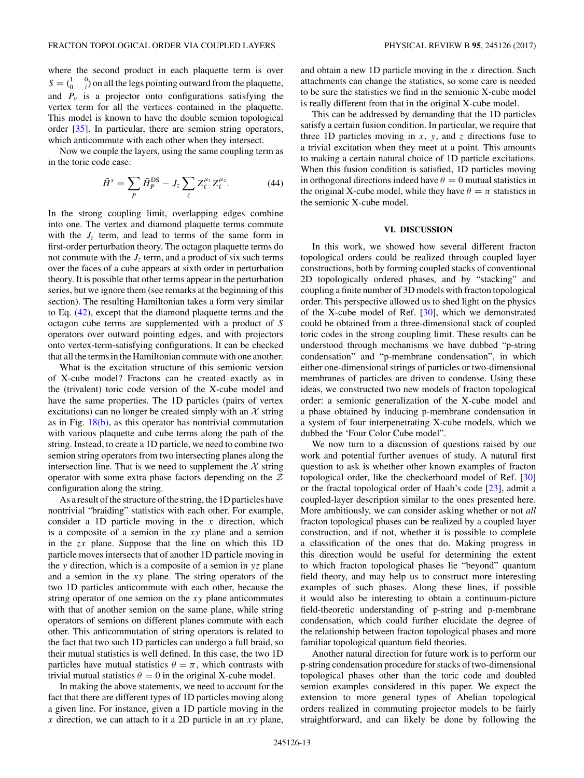<span id="page-12-0"></span>where the second product in each plaquette term is over  $S = \begin{pmatrix} 1 & 0 \\ 0 & i \end{pmatrix}$  on all the legs pointing outward from the plaquette, and  $P_v$  is a projector onto configurations satisfying the vertex term for all the vertices contained in the plaquette. This model is known to have the double semion topological order [\[35\]](#page-17-0). In particular, there are semion string operators, which anticommute with each other when they intersect.

Now we couple the layers, using the same coupling term as in the toric code case:

$$
\tilde{H}^{s} = \sum_{P} \tilde{H}_{P}^{\text{DS}} - J_{z} \sum_{\ell} Z_{\ell}^{\mu_{1}} Z_{\ell}^{\mu_{2}}.
$$
 (44)

In the strong coupling limit, overlapping edges combine into one. The vertex and diamond plaquette terms commute with the  $J_z$  term, and lead to terms of the same form in first-order perturbation theory. The octagon plaquette terms do not commute with the  $J_z$  term, and a product of six such terms over the faces of a cube appears at sixth order in perturbation theory. It is possible that other terms appear in the perturbation series, but we ignore them (see remarks at the beginning of this section). The resulting Hamiltonian takes a form very similar to Eq. [\(42\)](#page-11-0), except that the diamond plaquette terms and the octagon cube terms are supplemented with a product of *S* operators over outward pointing edges, and with projectors onto vertex-term-satisfying configurations. It can be checked that all the terms in the Hamiltonian commute with one another.

What is the excitation structure of this semionic version of X-cube model? Fractons can be created exactly as in the (trivalent) toric code version of the X-cube model and have the same properties. The 1D particles (pairs of vertex excitations) can no longer be created simply with an  $X$  string as in Fig.  $18(b)$ , as this operator has nontrivial commutation with various plaquette and cube terms along the path of the string. Instead, to create a 1D particle, we need to combine two semion string operators from two intersecting planes along the intersection line. That is we need to supplement the  $X$  string operator with some extra phase factors depending on the Z configuration along the string.

As a result of the structure of the string, the 1D particles have nontrivial "braiding" statistics with each other. For example, consider a 1D particle moving in the *x* direction, which is a composite of a semion in the *xy* plane and a semion in the *zx* plane. Suppose that the line on which this 1D particle moves intersects that of another 1D particle moving in the *y* direction, which is a composite of a semion in *yz* plane and a semion in the *xy* plane. The string operators of the two 1D particles anticommute with each other, because the string operator of one semion on the *xy* plane anticommutes with that of another semion on the same plane, while string operators of semions on different planes commute with each other. This anticommutation of string operators is related to the fact that two such 1D particles can undergo a full braid, so their mutual statistics is well defined. In this case, the two 1D particles have mutual statistics  $\theta = \pi$ , which contrasts with trivial mutual statistics  $\theta = 0$  in the original X-cube model.

In making the above statements, we need to account for the fact that there are different types of 1D particles moving along a given line. For instance, given a 1D particle moving in the *x* direction, we can attach to it a 2D particle in an *xy* plane,

and obtain a new 1D particle moving in the *x* direction. Such attachments can change the statistics, so some care is needed to be sure the statistics we find in the semionic X-cube model is really different from that in the original X-cube model.

This can be addressed by demanding that the 1D particles satisfy a certain fusion condition. In particular, we require that three 1D particles moving in  $x$ ,  $y$ , and  $z$  directions fuse to a trivial excitation when they meet at a point. This amounts to making a certain natural choice of 1D particle excitations. When this fusion condition is satisfied, 1D particles moving in orthogonal directions indeed have  $\theta = 0$  mutual statistics in the original X-cube model, while they have  $\theta = \pi$  statistics in the semionic X-cube model.

#### **VI. DISCUSSION**

In this work, we showed how several different fracton topological orders could be realized through coupled layer constructions, both by forming coupled stacks of conventional 2D topologically ordered phases, and by "stacking" and coupling a finite number of 3D models with fracton topological order. This perspective allowed us to shed light on the physics of the X-cube model of Ref. [\[30\]](#page-17-0), which we demonstrated could be obtained from a three-dimensional stack of coupled toric codes in the strong coupling limit. These results can be understood through mechanisms we have dubbed "p-string condensation" and "p-membrane condensation", in which either one-dimensional strings of particles or two-dimensional membranes of particles are driven to condense. Using these ideas, we constructed two new models of fracton topological order: a semionic generalization of the X-cube model and a phase obtained by inducing p-membrane condensation in a system of four interpenetrating X-cube models, which we dubbed the 'Four Color Cube model".

We now turn to a discussion of questions raised by our work and potential further avenues of study. A natural first question to ask is whether other known examples of fracton topological order, like the checkerboard model of Ref. [\[30\]](#page-17-0) or the fractal topological order of Haah's code [\[23\]](#page-17-0), admit a coupled-layer description similar to the ones presented here. More ambitiously, we can consider asking whether or not *all* fracton topological phases can be realized by a coupled layer construction, and if not, whether it is possible to complete a classification of the ones that do. Making progress in this direction would be useful for determining the extent to which fracton topological phases lie "beyond" quantum field theory, and may help us to construct more interesting examples of such phases. Along these lines, if possible it would also be interesting to obtain a continuum-picture field-theoretic understanding of p-string and p-membrane condensation, which could further elucidate the degree of the relationship between fracton topological phases and more familiar topological quantum field theories.

Another natural direction for future work is to perform our p-string condensation procedure for stacks of two-dimensional topological phases other than the toric code and doubled semion examples considered in this paper. We expect the extension to more general types of Abelian topological orders realized in commuting projector models to be fairly straightforward, and can likely be done by following the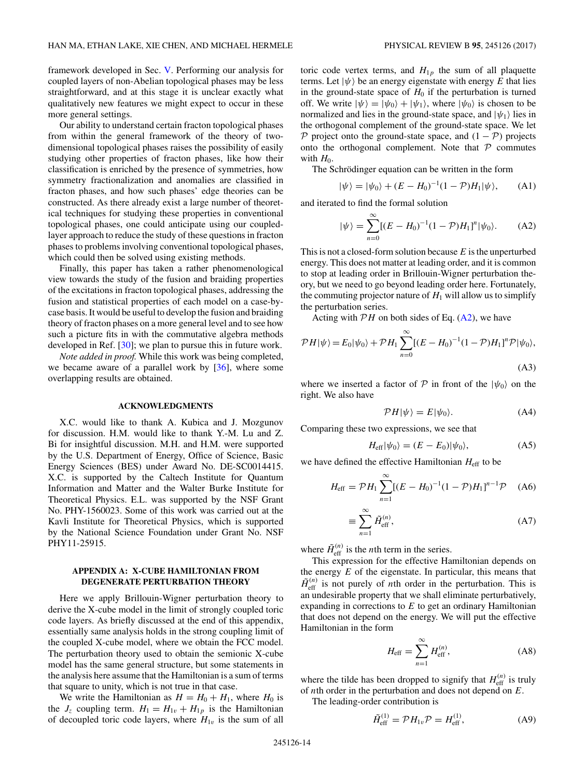<span id="page-13-0"></span>framework developed in Sec. [V.](#page-10-0) Performing our analysis for coupled layers of non-Abelian topological phases may be less straightforward, and at this stage it is unclear exactly what qualitatively new features we might expect to occur in these more general settings.

Our ability to understand certain fracton topological phases from within the general framework of the theory of twodimensional topological phases raises the possibility of easily studying other properties of fracton phases, like how their classification is enriched by the presence of symmetries, how symmetry fractionalization and anomalies are classified in fracton phases, and how such phases' edge theories can be constructed. As there already exist a large number of theoretical techniques for studying these properties in conventional topological phases, one could anticipate using our coupledlayer approach to reduce the study of these questions in fracton phases to problems involving conventional topological phases, which could then be solved using existing methods.

Finally, this paper has taken a rather phenomenological view towards the study of the fusion and braiding properties of the excitations in fracton topological phases, addressing the fusion and statistical properties of each model on a case-bycase basis. It would be useful to develop the fusion and braiding theory of fracton phases on a more general level and to see how such a picture fits in with the commutative algebra methods developed in Ref. [\[30\]](#page-17-0); we plan to pursue this in future work.

*Note added in proof.* While this work was being completed, we became aware of a parallel work by  $[36]$ , where some overlapping results are obtained.

#### **ACKNOWLEDGMENTS**

X.C. would like to thank A. Kubica and J. Mozgunov for discussion. H.M. would like to thank Y.-M. Lu and Z. Bi for insightful discussion. M.H. and H.M. were supported by the U.S. Department of Energy, Office of Science, Basic Energy Sciences (BES) under Award No. DE-SC0014415. X.C. is supported by the Caltech Institute for Quantum Information and Matter and the Walter Burke Institute for Theoretical Physics. E.L. was supported by the NSF Grant No. PHY-1560023. Some of this work was carried out at the Kavli Institute for Theoretical Physics, which is supported by the National Science Foundation under Grant No. NSF PHY11-25915.

## **APPENDIX A: X-CUBE HAMILTONIAN FROM DEGENERATE PERTURBATION THEORY**

Here we apply Brillouin-Wigner perturbation theory to derive the X-cube model in the limit of strongly coupled toric code layers. As briefly discussed at the end of this appendix, essentially same analysis holds in the strong coupling limit of the coupled X-cube model, where we obtain the FCC model. The perturbation theory used to obtain the semionic X-cube model has the same general structure, but some statements in the analysis here assume that the Hamiltonian is a sum of terms that square to unity, which is not true in that case.

We write the Hamiltonian as  $H = H_0 + H_1$ , where  $H_0$  is the  $J_z$  coupling term.  $H_1 = H_{1v} + H_{1p}$  is the Hamiltonian of decoupled toric code layers, where  $H_{1v}$  is the sum of all toric code vertex terms, and  $H_{1p}$  the sum of all plaquette terms. Let  $|\psi\rangle$  be an energy eigenstate with energy *E* that lies in the ground-state space of  $H_0$  if the perturbation is turned off. We write  $|\psi\rangle = |\psi_0\rangle + |\psi_1\rangle$ , where  $|\psi_0\rangle$  is chosen to be normalized and lies in the ground-state space, and  $|\psi_1\rangle$  lies in the orthogonal complement of the ground-state space. We let P project onto the ground-state space, and  $(1 - P)$  projects onto the orthogonal complement. Note that  $P$  commutes with  $H_0$ .

The Schrödinger equation can be written in the form

$$
|\psi\rangle = |\psi_0\rangle + (E - H_0)^{-1} (1 - \mathcal{P}) H_1 |\psi\rangle, \quad (A1)
$$

and iterated to find the formal solution

$$
|\psi\rangle = \sum_{n=0}^{\infty} [(E - H_0)^{-1} (1 - \mathcal{P}) H_1]^n |\psi_0\rangle.
$$
 (A2)

This is not a closed-form solution because *E* is the unperturbed energy. This does not matter at leading order, and it is common to stop at leading order in Brillouin-Wigner perturbation theory, but we need to go beyond leading order here. Fortunately, the commuting projector nature of  $H_1$  will allow us to simplify the perturbation series.

Acting with  $\mathcal{P}H$  on both sides of Eq. (A2), we have

$$
\mathcal{P}H|\psi\rangle = E_0|\psi_0\rangle + \mathcal{P}H_1 \sum_{n=0}^{\infty} [(E - H_0)^{-1}(1 - \mathcal{P})H_1]^n \mathcal{P}|\psi_0\rangle,
$$
\n(A3)

where we inserted a factor of  $P$  in front of the  $|\psi_0\rangle$  on the right. We also have

$$
\mathcal{P}H|\psi\rangle = E|\psi_0\rangle. \tag{A4}
$$

Comparing these two expressions, we see that

$$
H_{\rm eff} |\psi_0\rangle = (E - E_0) |\psi_0\rangle, \tag{A5}
$$

we have defined the effective Hamiltonian  $H_{\text{eff}}$  to be

$$
H_{\text{eff}} = \mathcal{P}H_1 \sum_{n=1}^{\infty} [(E - H_0)^{-1} (1 - \mathcal{P}) H_1]^{n-1} \mathcal{P} \quad (A6)
$$

$$
\equiv \sum_{n=1}^{\infty} \tilde{H}_{\text{eff}}^{(n)},\tag{A7}
$$

where  $\tilde{H}_{\text{eff}}^{(n)}$  is the *n*th term in the series.

This expression for the effective Hamiltonian depends on the energy *E* of the eigenstate. In particular, this means that  $\tilde{H}_{\text{eff}}^{(n)}$  is not purely of *n*th order in the perturbation. This is an undesirable property that we shall eliminate perturbatively, expanding in corrections to *E* to get an ordinary Hamiltonian that does not depend on the energy. We will put the effective Hamiltonian in the form

$$
H_{\rm eff} = \sum_{n=1}^{\infty} H_{\rm eff}^{(n)},\tag{A8}
$$

where the tilde has been dropped to signify that  $H_{\text{eff}}^{(n)}$  is truly of *n*th order in the perturbation and does not depend on *E*.

The leading-order contribution is

$$
\tilde{H}_{\text{eff}}^{(1)} = \mathcal{P}H_{1v}\mathcal{P} = H_{\text{eff}}^{(1)},\tag{A9}
$$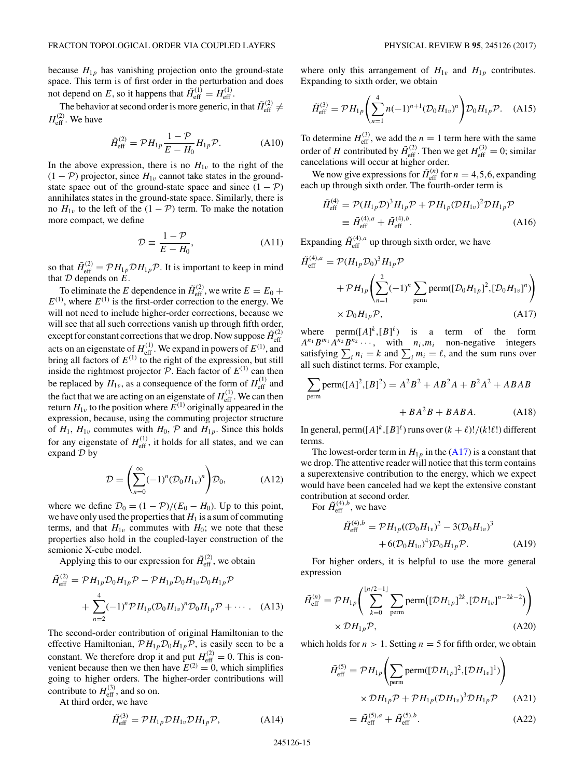because  $H_{1p}$  has vanishing projection onto the ground-state space. This term is of first order in the perturbation and does not depend on E, so it happens that  $\tilde{H}_{\text{eff}}^{(1)} = H_{\text{eff}}^{(1)}$ .

The behavior at second order is more generic, in that  $\tilde{H}_{\text{eff}}^{(2)} \neq$  $H_{\text{eff}}^{(2)}$ . We have

$$
\tilde{H}_{\text{eff}}^{(2)} = \mathcal{P} H_{1p} \frac{1 - \mathcal{P}}{E - H_0} H_{1p} \mathcal{P}.
$$
 (A10)

In the above expression, there is no  $H_{1v}$  to the right of the  $(1 - P)$  projector, since  $H_{1v}$  cannot take states in the groundstate space out of the ground-state space and since  $(1 - P)$ annihilates states in the ground-state space. Similarly, there is no  $H_{1v}$  to the left of the (1 − P) term. To make the notation more compact, we define

$$
\mathcal{D} \equiv \frac{1 - \mathcal{P}}{E - H_0},\tag{A11}
$$

so that  $\tilde{H}_{\text{eff}}^{(2)} = \mathcal{P}H_{1p}\mathcal{D}H_{1p}\mathcal{P}$ . It is important to keep in mind that  $D$  depends on  $E$ .

To eliminate the *E* dependence in  $\tilde{H}_{\text{eff}}^{(2)}$ , we write  $E = E_0 +$  $E^{(1)}$ , where  $E^{(1)}$  is the first-order correction to the energy. We will not need to include higher-order corrections, because we will see that all such corrections vanish up through fifth order, except for constant corrections that we drop. Now suppose  $\tilde{H}_{\text{eff}}^{(2)}$  acts on an eigenstate of  $H_{\text{eff}}^{(1)}$ . We expand in powers of  $E^{(1)}$ , and bring all factors of  $E^{(1)}$  to the right of the expression, but still inside the rightmost projector  $P$ . Each factor of  $E^{(1)}$  can then be replaced by  $H_{1v}$ , as a consequence of the form of  $H_{\text{eff}}^{(1)}$  and the fact that we are acting on an eigenstate of  $H_{\text{eff}}^{(1)}$ . We can then return  $H_{1v}$  to the position where  $E^{(1)}$  originally appeared in the expression, because, using the commuting projector structure of  $H_1$ ,  $H_{1v}$  commutes with  $H_0$ ,  $P$  and  $H_{1p}$ . Since this holds for any eigenstate of  $H_{\text{eff}}^{(1)}$ , it holds for all states, and we can expand  $D$  by

$$
\mathcal{D} = \left(\sum_{n=0}^{\infty} (-1)^n (\mathcal{D}_0 H_{1v})^n\right) \mathcal{D}_0, \tag{A12}
$$

where we define  $\mathcal{D}_0 = (1 - \mathcal{P})/(E_0 - H_0)$ . Up to this point, we have only used the properties that  $H_1$  is a sum of commuting terms, and that  $H_{1v}$  commutes with  $H_0$ ; we note that these properties also hold in the coupled-layer construction of the semionic X-cube model.

Applying this to our expression for  $\tilde{H}^{(2)}_{\text{eff}}$ , we obtain

$$
\tilde{H}_{\text{eff}}^{(2)} = \mathcal{P}H_{1p}\mathcal{D}_0H_{1p}\mathcal{P} - \mathcal{P}H_{1p}\mathcal{D}_0H_{1v}\mathcal{D}_0H_{1p}\mathcal{P}
$$
\n
$$
+ \sum_{n=2}^4 (-1)^n \mathcal{P}H_{1p}(\mathcal{D}_0H_{1v})^n \mathcal{D}_0H_{1p}\mathcal{P} + \cdots. \quad (A13)
$$

The second-order contribution of original Hamiltonian to the effective Hamiltonian,  $\mathcal{P}H_{1p}\mathcal{D}_0H_{1p}\mathcal{P}$ , is easily seen to be a constant. We therefore drop it and put  $H_{\text{eff}}^{(2)} = 0$ . This is convenient because then we then have  $E^{(2)} = 0$ , which simplifies going to higher orders. The higher-order contributions will contribute to  $H_{\text{eff}}^{(3)}$ , and so on.

At third order, we have

$$
\tilde{H}_{\text{eff}}^{(3)} = \mathcal{P}H_{1p}\mathcal{D}H_{1v}\mathcal{D}H_{1p}\mathcal{P},\tag{A14}
$$

where only this arrangement of  $H_{1v}$  and  $H_{1p}$  contributes. Expanding to sixth order, we obtain

$$
\tilde{H}_{\text{eff}}^{(3)} = \mathcal{P}H_{1p}\left(\sum_{n=1}^{4} n(-1)^{n+1} (\mathcal{D}_0 H_{1v})^n\right) \mathcal{D}_0 H_{1p} \mathcal{P}.
$$
 (A15)

To determine  $H_{\text{eff}}^{(3)}$ , we add the  $n = 1$  term here with the same order of *H* contributed by  $\tilde{H}_{\text{eff}}^{(2)}$ . Then we get  $H_{\text{eff}}^{(3)} = 0$ ; similar cancelations will occur at higher order.

We now give expressions for  $\tilde{H}_{\text{eff}}^{(n)}$  for  $n = 4, 5, 6$ , expanding each up through sixth order. The fourth-order term is

$$
\tilde{H}_{\text{eff}}^{(4)} = \mathcal{P}(H_{1p}\mathcal{D})^3 H_{1p}\mathcal{P} + \mathcal{P}H_{1p}(\mathcal{D}H_{1v})^2 \mathcal{D}H_{1p}\mathcal{P}
$$
\n
$$
\equiv \tilde{H}_{\text{eff}}^{(4),a} + \tilde{H}_{\text{eff}}^{(4),b}.
$$
\n(A16)

Expanding  $\tilde{H}_{\text{eff}}^{(4),a}$  up through sixth order, we have

$$
\tilde{H}_{\text{eff}}^{(4),a} = \mathcal{P}(H_{1p}\mathcal{D}_0)^3 H_{1p}\mathcal{P}
$$
\n
$$
+ \mathcal{P}H_{1p}\left(\sum_{n=1}^2 (-1)^n \sum_{\text{perm}} \text{perm}([\mathcal{D}_0 H_{1p}]^2, [\mathcal{D}_0 H_{1v}]^n)\right)
$$
\n
$$
\times \mathcal{D}_0 H_{1p}\mathcal{P}, \qquad (A17)
$$

where  $\text{perm}([A]^k,[B]^{\ell})$  is a term of the form  $A^{n_1}B^{m_1}A^{n_2}B^{n_2}\cdots$ , with  $n_i,m_i$  non-negative integers satisfying  $\sum_i n_i = k$  and  $\sum_i m_i = \ell$ , and the sum runs over all such distinct terms. For example,

$$
\sum_{\text{perm}} \text{perm}([A]^2, [B]^2) = A^2 B^2 + A B^2 A + B^2 A^2 + A B A B
$$

$$
+BA^2B + BABA. \tag{A18}
$$

In general, perm $([A]^k, [B]^{\ell})$  runs over  $(k + \ell)!/(k! \ell!)$  different terms.

The lowest-order term in  $H_{1p}$  in the (A17) is a constant that we drop. The attentive reader will notice that this term contains a superextensive contribution to the energy, which we expect would have been canceled had we kept the extensive constant contribution at second order.

For  $\tilde{H}_{\text{eff}}^{(4),b}$ , we have

$$
\tilde{H}_{\text{eff}}^{(4),b} = \mathcal{P}H_{1p}((\mathcal{D}_0H_{1v})^2 - 3(\mathcal{D}_0H_{1v})^3 \n+ 6(\mathcal{D}_0H_{1v})^4)\mathcal{D}_0H_{1p}\mathcal{P}.
$$
\n(A19)

For higher orders, it is helpful to use the more general expression

$$
\tilde{H}_{\text{eff}}^{(n)} = \mathcal{P} H_{1p} \Bigg( \sum_{k=0}^{\lfloor n/2 - 1 \rfloor} \sum_{\text{perm}} \text{perm} \big( [\mathcal{D} H_{1p}]^{2k}, [\mathcal{D} H_{1v}]^{n-2k-2} \big) \Bigg) \times \mathcal{D} H_{1p} \mathcal{P}, \tag{A20}
$$

which holds for  $n > 1$ . Setting  $n = 5$  for fifth order, we obtain

$$
\tilde{H}_{\text{eff}}^{(5)} = \mathcal{P}H_{1p}\left(\sum_{\text{perm}} \text{perm}([\mathcal{D}H_{1p}]^2, [\mathcal{D}H_{1v}]^1)\right)
$$

$$
\times \mathcal{D}H_{1p}\mathcal{P} + \mathcal{P}H_{1p}(\mathcal{D}H_{1v})^3 \mathcal{D}H_{1p}\mathcal{P} \qquad (A21)
$$

$$
= \tilde{H}_{\rm eff}^{(5),a} + \tilde{H}_{\rm eff}^{(5),b}.
$$
 (A22)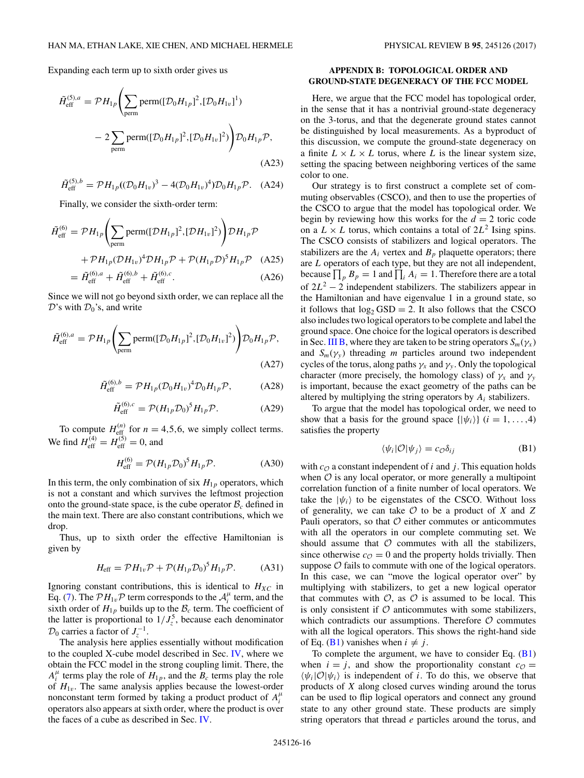<span id="page-15-0"></span>Expanding each term up to sixth order gives us

$$
\tilde{H}_{\text{eff}}^{(5),a} = \mathcal{P}H_{1p}\left(\sum_{\text{perm}} \text{perm}([\mathcal{D}_0 H_{1p}]^2, [\mathcal{D}_0 H_{1v}]^1) - 2\sum_{\text{perm}} \text{perm}([\mathcal{D}_0 H_{1p}]^2, [\mathcal{D}_0 H_{1v}]^2)\right) \mathcal{D}_0 H_{1p} \mathcal{P},
$$
\n(A23)

$$
\tilde{H}_{\text{eff}}^{(5),b} = \mathcal{P}H_{1p}((\mathcal{D}_0H_{1v})^3 - 4(\mathcal{D}_0H_{1v})^4)\mathcal{D}_0H_{1p}\mathcal{P}.
$$
 (A24)

Finally, we consider the sixth-order term:

$$
\tilde{H}_{\text{eff}}^{(6)} = \mathcal{P}H_{1p}\left(\sum_{\text{perm}} \text{perm}([\mathcal{D}H_{1p}]^2, [\mathcal{D}H_{1v}]^2)\right) \mathcal{D}H_{1p}\mathcal{P}
$$

$$
+ \mathcal{P}H_{1p}(\mathcal{D}H_{1v})^4 \mathcal{D}H_{1p}\mathcal{P} + \mathcal{P}(H_{1p}\mathcal{D})^5 H_{1p}\mathcal{P} \quad (A25)
$$

$$
\tilde{\mathcal{P}}^{(6)} = \tilde{\mathcal{P}}^{(6)} + \tilde{\mathcal{P}}^{(6)} + \tilde{\mathcal{P}}^{(6)} + \tilde{\mathcal{P}}^{(6)} + \tilde{\mathcal{P}}^{(6)} + \tilde{\mathcal{P}}^{(6)} + \tilde{\mathcal{P}}^{(6)} + \tilde{\mathcal{P}}^{(6)} + \tilde{\mathcal{P}}^{(6)} + \tilde{\mathcal{P}}^{(6)} + \tilde{\mathcal{P}}^{(6)} + \tilde{\mathcal{P}}^{(6)} + \tilde{\mathcal{P}}^{(6)} + \tilde{\mathcal{P}}^{(6)} + \tilde{\mathcal{P}}^{(6)} + \tilde{\mathcal{P}}^{(6)} + \tilde{\mathcal{P}}^{(6)} + \tilde{\mathcal{P}}^{(6)} + \tilde{\mathcal{P}}^{(6)} + \tilde{\mathcal{P}}^{(6)} + \tilde{\mathcal{P}}^{(6)} + \tilde{\mathcal{P}}^{(6)} + \tilde{\mathcal{P}}^{(6)} + \tilde{\mathcal{P}}^{(6)} + \tilde{\mathcal{P}}^{(6)} + \tilde{\mathcal{P}}^{(6)} + \tilde{\mathcal{P}}^{(6)} + \tilde{\mathcal{P}}^{(6)} + \tilde{\mathcal{P}}^{(6)} + \tilde{\mathcal{P}}^{(6)} + \tilde{\mathcal{P}}^{(6)} + \tilde{\mathcal{P}}^{(6)} + \tilde{\mathcal{P}}^{(6)} + \tilde{\mathcal{P}}^{(6)} + \tilde{\mathcal{P}}^{(6)} + \tilde{\mathcal{P}}^{(6)} + \tilde{\mathcal{P}}^{(6)} + \tilde{\mathcal{P}}^{(6)} + \tilde{\mathcal{P}}^{(6)} + \tilde{\mathcal{P}}^{(6)} + \tilde{\mathcal{P}}
$$

$$
= \tilde{H}_{\rm eff}^{(6),a} + \tilde{H}_{\rm eff}^{(6),b} + \tilde{H}_{\rm eff}^{(6),c}.
$$
 (A26)

Since we will not go beyond sixth order, we can replace all the  $\mathcal{D}$ 's with  $\mathcal{D}_0$ 's, and write

$$
\tilde{H}_{\text{eff}}^{(6),a} = \mathcal{P}H_{1p}\left(\sum_{\text{perm}} \text{perm}([\mathcal{D}_0 H_{1p}]^2, [\mathcal{D}_0 H_{1v}]^2)\right) \mathcal{D}_0 H_{1p} \mathcal{P},\tag{A27}
$$

$$
\tilde{H}_{\rm eff}^{(6),b} = \mathcal{P}H_{1p}(\mathcal{D}_0H_{1v})^4 \mathcal{D}_0H_{1p}\mathcal{P},\tag{A28}
$$

$$
\tilde{H}_{\text{eff}}^{(6),c} = \mathcal{P}(H_{1p}\mathcal{D}_0)^5 H_{1p}\mathcal{P}.
$$
 (A29)

To compute  $H_{\text{eff}}^{(n)}$  for  $n = 4, 5, 6$ , we simply collect terms. We find  $H_{\text{eff}}^{(4)} = H_{\text{eff}}^{(5)} = 0$ , and

$$
H_{\text{eff}}^{(6)} = \mathcal{P}(H_{1p}\mathcal{D}_0)^5 H_{1p}\mathcal{P}.
$$
 (A30)

In this term, the only combination of six  $H_{1p}$  operators, which is not a constant and which survives the leftmost projection onto the ground-state space, is the cube operator  $B_c$  defined in the main text. There are also constant contributions, which we drop.

Thus, up to sixth order the effective Hamiltonian is given by

$$
H_{\text{eff}} = \mathcal{P}H_{1v}\mathcal{P} + \mathcal{P}(H_{1p}\mathcal{D}_0)^5 H_{1p}\mathcal{P}.
$$
 (A31)

Ignoring constant contributions, this is identical to  $H_{XC}$  in Eq. [\(7\)](#page-2-0). The  $\mathcal{P}H_{1v}\mathcal{P}$  term corresponds to the  $\mathcal{A}_i^{\mu}$  term, and the sixth order of  $H_{1p}$  builds up to the  $B_c$  term. The coefficient of the latter is proportional to  $1/J_z^5$ , because each denominator  $\mathcal{D}_0$  carries a factor of  $J_z^{-1}$ .

The analysis here applies essentially without modification to the coupled X-cube model described in Sec. [IV,](#page-6-0) where we obtain the FCC model in the strong coupling limit. There, the  $A_i^{\mu}$  terms play the role of  $H_{1p}$ , and the  $B_c$  terms play the role of  $H_{1v}$ . The same analysis applies because the lowest-order nonconstant term formed by taking a product product of  $A_i^{\mu}$ operators also appears at sixth order, where the product is over the faces of a cube as described in Sec. [IV.](#page-6-0)

## **APPENDIX B: TOPOLOGICAL ORDER AND GROUND-STATE DEGENERACY OF THE FCC MODEL**

Here, we argue that the FCC model has topological order, in the sense that it has a nontrivial ground-state degeneracy on the 3-torus, and that the degenerate ground states cannot be distinguished by local measurements. As a byproduct of this discussion, we compute the ground-state degeneracy on a finite  $L \times L \times L$  torus, where *L* is the linear system size, setting the spacing between neighboring vertices of the same color to one.

Our strategy is to first construct a complete set of commuting observables (CSCO), and then to use the properties of the CSCO to argue that the model has topological order. We begin by reviewing how this works for the  $d = 2$  toric code on a  $L \times L$  torus, which contains a total of  $2L^2$  Ising spins. The CSCO consists of stabilizers and logical operators. The stabilizers are the  $A_i$  vertex and  $B_p$  plaquette operators; there are *L* operators of each type, but they are not all independent, because  $\prod_p B_p = 1$  and  $\prod_i A_i = 1$ . Therefore there are a total of  $2L^2 - 2$  independent stabilizers. The stabilizers appear in the Hamiltonian and have eigenvalue 1 in a ground state, so it follows that  $log_2$  GSD = 2. It also follows that the CSCO also includes two logical operators to be complete and label the ground space. One choice for the logical operators is described in Sec. [III B,](#page-5-0) where they are taken to be string operators  $S_m(\gamma_x)$ and  $S_m(\gamma_v)$  threading *m* particles around two independent cycles of the torus, along paths  $\gamma_x$  and  $\gamma_y$ . Only the topological character (more precisely, the homology class) of  $\gamma_x$  and  $\gamma_y$ is important, because the exact geometry of the paths can be altered by multiplying the string operators by *Ai* stabilizers.

To argue that the model has topological order, we need to show that a basis for the ground space  $\{|\psi_i\rangle\}$  ( $i = 1, \ldots, 4$ ) satisfies the property

$$
\langle \psi_i | \mathcal{O} | \psi_j \rangle = c_{\mathcal{O}} \delta_{ij} \tag{B1}
$$

with  $c_{\mathcal{O}}$  a constant independent of *i* and *j*. This equation holds when  $\mathcal O$  is any local operator, or more generally a multipoint correlation function of a finite number of local operators. We take the  $|\psi_i\rangle$  to be eigenstates of the CSCO. Without loss of generality, we can take O to be a product of *X* and *Z* Pauli operators, so that  $\mathcal O$  either commutes or anticommutes with all the operators in our complete commuting set. We should assume that  $\mathcal O$  commutes with all the stabilizers, since otherwise  $c_{\mathcal{O}} = 0$  and the property holds trivially. Then suppose  $\mathcal O$  fails to commute with one of the logical operators. In this case, we can "move the logical operator over" by multiplying with stabilizers, to get a new logical operator that commutes with  $\mathcal{O}$ , as  $\mathcal{O}$  is assumed to be local. This is only consistent if  $O$  anticommutes with some stabilizers, which contradicts our assumptions. Therefore  $O$  commutes with all the logical operators. This shows the right-hand side of Eq. (B1) vanishes when  $i \neq j$ .

To complete the argument, we have to consider Eq.  $(B1)$ when  $i = j$ , and show the proportionality constant  $c_{\mathcal{O}} =$  $\langle \psi_i | \mathcal{O} | \psi_i \rangle$  is independent of *i*. To do this, we observe that products of *X* along closed curves winding around the torus can be used to flip logical operators and connect any ground state to any other ground state. These products are simply string operators that thread *e* particles around the torus, and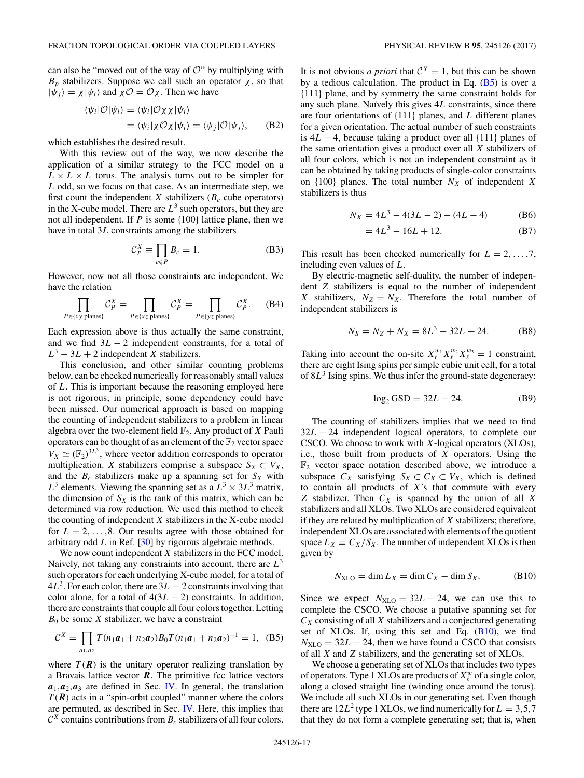can also be "moved out of the way of  $\mathcal{O}$ " by multiplying with *B<sub>p</sub>* stabilizers. Suppose we call such an operator  $χ$ , so that  $|\psi_i\rangle = \chi|\psi_i\rangle$  and  $\chi \mathcal{O} = \mathcal{O}\chi$ . Then we have

$$
\langle \psi_i | \mathcal{O} | \psi_i \rangle = \langle \psi_i | \mathcal{O} \chi \chi | \psi_i \rangle
$$
  
= 
$$
\langle \psi_i | \chi \mathcal{O} \chi | \psi_i \rangle = \langle \psi_j | \mathcal{O} | \psi_j \rangle,
$$
 (B2)

which establishes the desired result.

With this review out of the way, we now describe the application of a similar strategy to the FCC model on a  $L \times L \times L$  torus. The analysis turns out to be simpler for *L* odd, so we focus on that case. As an intermediate step, we first count the independent *X* stabilizers ( $B_c$  cube operators) in the X-cube model. There are  $L^3$  such operators, but they are not all independent. If *P* is some {100} lattice plane, then we have in total 3*L* constraints among the stabilizers

$$
\mathcal{C}_P^X \equiv \prod_{c \in P} B_c = 1. \tag{B3}
$$

However, now not all those constraints are independent. We have the relation

$$
\prod_{P \in \{xy \text{ planes}\}} C_P^X = \prod_{P \in \{xz \text{ planes}\}} C_P^X = \prod_{P \in \{yz \text{ planes}\}} C_P^X. \tag{B4}
$$

Each expression above is thus actually the same constraint, and we find 3*L* − 2 independent constraints, for a total of  $L^3 - 3L + 2$  independent *X* stabilizers.

This conclusion, and other similar counting problems below, can be checked numerically for reasonably small values of *L*. This is important because the reasoning employed here is not rigorous; in principle, some dependency could have been missed. Our numerical approach is based on mapping the counting of independent stabilizers to a problem in linear algebra over the two-element field  $\mathbb{F}_2$ . Any product of *X* Pauli operators can be thought of as an element of the  $\mathbb{F}_2$  vector space  $V_X \simeq (\mathbb{F}_2)^{3L^3}$ , where vector addition corresponds to operator multiplication. *X* stabilizers comprise a subspace  $S_X \subset V_X$ , and the  $B_c$  stabilizers make up a spanning set for  $S_X$  with  $L^3$  elements. Viewing the spanning set as a  $L^3 \times 3L^3$  matrix, the dimension of  $S_X$  is the rank of this matrix, which can be determined via row reduction. We used this method to check the counting of independent *X* stabilizers in the X-cube model for  $L = 2, \ldots, 8$ . Our results agree with those obtained for arbitrary odd *L* in Ref. [\[30\]](#page-17-0) by rigorous algebraic methods.

We now count independent *X* stabilizers in the FCC model. Naively, not taking any constraints into account, there are *L*<sup>3</sup> such operators for each underlying X-cube model, for a total of  $4L<sup>3</sup>$ . For each color, there are  $3L - 2$  constraints involving that color alone, for a total of  $4(3L - 2)$  constraints. In addition, there are constraints that couple all four colors together. Letting  $B_0$  be some *X* stabilizer, we have a constraint

$$
C^{X} = \prod_{n_1, n_2} T(n_1 a_1 + n_2 a_2) B_0 T(n_1 a_1 + n_2 a_2)^{-1} = 1, \quad (B5)
$$

where  $T(\mathbf{R})$  is the unitary operator realizing translation by a Bravais lattice vector **. The primitive fcc lattice vectors**  $a_1$ , $a_2$ , $a_3$  are defined in Sec. [IV.](#page-6-0) In general, the translation  $T(R)$  acts in a "spin-orbit coupled" manner where the colors are permuted, as described in Sec. [IV.](#page-6-0) Here, this implies that  $C^X$  contains contributions from  $B_c$  stabilizers of all four colors.

It is not obvious *a priori* that  $C^X = 1$ , but this can be shown by a tedious calculation. The product in Eq.  $(B5)$  is over a {111} plane, and by symmetry the same constraint holds for any such plane. Naïvely this gives 4*L* constraints, since there are four orientations of {111} planes, and *L* different planes for a given orientation. The actual number of such constraints is 4*L* − 4, because taking a product over all {111} planes of the same orientation gives a product over all *X* stabilizers of all four colors, which is not an independent constraint as it can be obtained by taking products of single-color constraints on  $\{100\}$  planes. The total number  $N_X$  of independent X stabilizers is thus

$$
N_X = 4L^3 - 4(3L - 2) - (4L - 4)
$$
 (B6)

$$
=4L^3 - 16L + 12.\tag{B7}
$$

This result has been checked numerically for  $L = 2, \ldots, 7$ , including even values of *L*.

By electric-magnetic self-duality, the number of independent *Z* stabilizers is equal to the number of independent *X* stabilizers,  $N_Z = N_X$ . Therefore the total number of independent stabilizers is

$$
N_S = N_Z + N_X = 8L^3 - 32L + 24. \tag{B8}
$$

Taking into account the on-site  $X_{\ell}^{w_1} X_{\ell}^{w_2} X_{\ell}^{w_3} = 1$  constraint, there are eight Ising spins per simple cubic unit cell, for a total of 8*L*<sup>3</sup> Ising spins. We thus infer the ground-state degeneracy:

$$
\log_2 \text{GSD} = 32L - 24. \tag{B9}
$$

The counting of stabilizers implies that we need to find 32*L* − 24 independent logical operators, to complete our CSCO. We choose to work with *X*-logical operators (XLOs), i.e., those built from products of *X* operators. Using the  $\mathbb{F}_2$  vector space notation described above, we introduce a subspace  $C_X$  satisfying  $S_X \subset C_X \subset V_X$ , which is defined to contain all products of *X*'s that commute with every  $Z$  stabilizer. Then  $C_X$  is spanned by the union of all  $X$ stabilizers and all XLOs. Two XLOs are considered equivalent if they are related by multiplication of *X* stabilizers; therefore, independent XLOs are associated with elements of the quotient space  $L_X \equiv C_X/S_X$ . The number of independent XLOs is then given by

$$
N_{\rm XLO} = \dim L_X = \dim C_X - \dim S_X. \tag{B10}
$$

Since we expect  $N_{\text{XLO}} = 32L - 24$ , we can use this to complete the CSCO. We choose a putative spanning set for *CX* consisting of all *X* stabilizers and a conjectured generating set of XLOs. If, using this set and Eq. (B10), we find  $N_{\text{XLO}} = 32L - 24$ , then we have found a CSCO that consists of all *X* and *Z* stabilizers, and the generating set of XLOs.

We choose a generating set of XLOs that includes two types of operators. Type 1 XLOs are products of  $X^w_\ell$  of a single color, along a closed straight line (winding once around the torus). We include all such XLOs in our generating set. Even though there are  $12L^2$  type 1 XLOs, we find numerically for  $L = 3,5,7$ that they do not form a complete generating set; that is, when